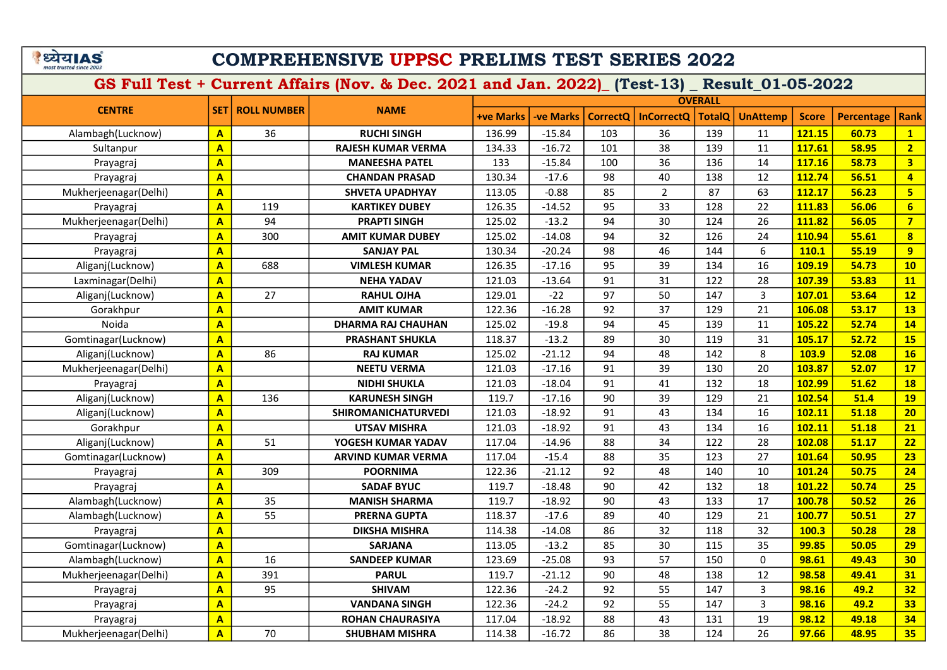### COMPREHENSIVE UPPSC PRELIMS TEST SERIES 2022

| <b>CENTRE</b>         |                         |                    |                            |                  |                 |          |                   | <b>OVERALL</b> |                 |              |                   |                         |
|-----------------------|-------------------------|--------------------|----------------------------|------------------|-----------------|----------|-------------------|----------------|-----------------|--------------|-------------------|-------------------------|
|                       | <b>SET</b>              | <b>ROLL NUMBER</b> | <b>NAME</b>                | <b>+ve Marks</b> | <b>ve Marks</b> | CorrectQ | <b>InCorrectQ</b> | <b>TotalQ</b>  | <b>UnAttemp</b> | <b>Score</b> | <b>Percentage</b> | Rank                    |
| Alambagh(Lucknow)     | $\overline{A}$          | 36                 | <b>RUCHI SINGH</b>         | 136.99           | $-15.84$        | 103      | 36                | 139            | 11              | 121.15       | 60.73             | $\mathbf{1}$            |
| Sultanpur             | $\overline{\mathbf{A}}$ |                    | <b>RAJESH KUMAR VERMA</b>  | 134.33           | $-16.72$        | 101      | 38                | 139            | 11              | 117.61       | 58.95             | $\overline{2}$          |
| Prayagraj             | $\overline{\mathsf{A}}$ |                    | <b>MANEESHA PATEL</b>      | 133              | $-15.84$        | 100      | 36                | 136            | 14              | 117.16       | 58.73             | $\overline{\mathbf{3}}$ |
| Prayagraj             | $\overline{\mathbf{A}}$ |                    | <b>CHANDAN PRASAD</b>      | 130.34           | $-17.6$         | 98       | 40                | 138            | 12              | 112.74       | 56.51             | $\overline{4}$          |
| Mukherjeenagar(Delhi) | $\overline{\mathsf{A}}$ |                    | <b>SHVETA UPADHYAY</b>     | 113.05           | $-0.88$         | 85       | $\overline{2}$    | 87             | 63              | 112.17       | 56.23             | $5\overline{)}$         |
| Prayagraj             | $\mathbf{A}$            | 119                | <b>KARTIKEY DUBEY</b>      | 126.35           | $-14.52$        | 95       | 33                | 128            | 22              | 111.83       | 56.06             | $6\phantom{a}$          |
| Mukherjeenagar(Delhi) | $\mathbf{A}$            | 94                 | <b>PRAPTI SINGH</b>        | 125.02           | $-13.2$         | 94       | 30                | 124            | 26              | 111.82       | 56.05             | $\overline{7}$          |
| Prayagraj             | $\mathbf{A}$            | 300                | <b>AMIT KUMAR DUBEY</b>    | 125.02           | $-14.08$        | 94       | 32                | 126            | 24              | 110.94       | 55.61             | $\overline{\mathbf{8}}$ |
| Prayagraj             | $\overline{\mathsf{A}}$ |                    | <b>SANJAY PAL</b>          | 130.34           | $-20.24$        | 98       | 46                | 144            | 6               | 110.1        | 55.19             | $\overline{9}$          |
| Aliganj(Lucknow)      | $\overline{\mathsf{A}}$ | 688                | <b>VIMLESH KUMAR</b>       | 126.35           | $-17.16$        | 95       | 39                | 134            | 16              | 109.19       | 54.73             | 10                      |
| Laxminagar(Delhi)     | $\overline{\mathbf{A}}$ |                    | <b>NEHA YADAV</b>          | 121.03           | $-13.64$        | 91       | 31                | 122            | 28              | 107.39       | 53.83             | 11                      |
| Aliganj(Lucknow)      | $\overline{\mathbf{A}}$ | 27                 | <b>RAHUL OJHA</b>          | 129.01           | $-22$           | 97       | 50                | 147            | 3               | 107.01       | 53.64             | 12                      |
| Gorakhpur             | $\overline{\mathbf{A}}$ |                    | <b>AMIT KUMAR</b>          | 122.36           | $-16.28$        | 92       | 37                | 129            | 21              | 106.08       | 53.17             | <b>13</b>               |
| Noida                 | $\mathbf{A}$            |                    | <b>DHARMA RAJ CHAUHAN</b>  | 125.02           | $-19.8$         | 94       | 45                | 139            | 11              | 105.22       | 52.74             | 14                      |
| Gomtinagar(Lucknow)   | $\overline{\mathsf{A}}$ |                    | <b>PRASHANT SHUKLA</b>     | 118.37           | $-13.2$         | 89       | 30                | 119            | 31              | 105.17       | 52.72             | <b>15</b>               |
| Aliganj(Lucknow)      | $\overline{\mathbf{A}}$ | 86                 | <b>RAJ KUMAR</b>           | 125.02           | $-21.12$        | 94       | 48                | 142            | 8               | 103.9        | 52.08             | 16                      |
| Mukherjeenagar(Delhi) | $\overline{\mathbf{A}}$ |                    | <b>NEETU VERMA</b>         | 121.03           | $-17.16$        | 91       | 39                | 130            | 20              | 103.87       | 52.07             | 17                      |
| Prayagraj             | $\overline{\mathbf{A}}$ |                    | <b>NIDHI SHUKLA</b>        | 121.03           | $-18.04$        | 91       | 41                | 132            | 18              | 102.99       | 51.62             | <b>18</b>               |
| Aliganj(Lucknow)      | $\overline{\mathsf{A}}$ | 136                | <b>KARUNESH SINGH</b>      | 119.7            | $-17.16$        | 90       | 39                | 129            | 21              | 102.54       | 51.4              | <b>19</b>               |
| Aliganj(Lucknow)      | $\overline{\mathbf{A}}$ |                    | <b>SHIROMANICHATURVEDI</b> | 121.03           | $-18.92$        | 91       | 43                | 134            | 16              | 102.11       | 51.18             | 20                      |
| Gorakhpur             | $\overline{A}$          |                    | <b>UTSAV MISHRA</b>        | 121.03           | $-18.92$        | 91       | 43                | 134            | 16              | 102.11       | 51.18             | 21                      |
| Aliganj(Lucknow)      | $\overline{\mathbf{A}}$ | 51                 | YOGESH KUMAR YADAV         | 117.04           | $-14.96$        | 88       | 34                | 122            | 28              | 102.08       | 51.17             | 22                      |
| Gomtinagar(Lucknow)   | $\overline{\mathbf{A}}$ |                    | <b>ARVIND KUMAR VERMA</b>  | 117.04           | $-15.4$         | 88       | 35                | 123            | 27              | 101.64       | 50.95             | 23                      |
| Prayagraj             | $\overline{\mathbf{A}}$ | 309                | <b>POORNIMA</b>            | 122.36           | $-21.12$        | 92       | 48                | 140            | 10              | 101.24       | 50.75             | 24                      |
| Prayagraj             | $\overline{\mathbf{A}}$ |                    | <b>SADAF BYUC</b>          | 119.7            | $-18.48$        | 90       | 42                | 132            | 18              | 101.22       | 50.74             | 25                      |
| Alambagh(Lucknow)     | $\overline{A}$          | 35                 | <b>MANISH SHARMA</b>       | 119.7            | $-18.92$        | 90       | 43                | 133            | 17              | 100.78       | 50.52             | 26                      |
| Alambagh(Lucknow)     | $\overline{\mathbf{A}}$ | 55                 | <b>PRERNA GUPTA</b>        | 118.37           | $-17.6$         | 89       | 40                | 129            | 21              | 100.77       | 50.51             | 27                      |
| Prayagraj             | $\overline{\mathbf{A}}$ |                    | <b>DIKSHA MISHRA</b>       | 114.38           | $-14.08$        | 86       | 32                | 118            | 32              | 100.3        | 50.28             | 28                      |
| Gomtinagar(Lucknow)   | $\mathbf{A}$            |                    | <b>SARJANA</b>             | 113.05           | $-13.2$         | 85       | 30                | 115            | 35              | 99.85        | 50.05             | 29                      |
| Alambagh(Lucknow)     | $\mathbf{A}$            | 16                 | <b>SANDEEP KUMAR</b>       | 123.69           | $-25.08$        | 93       | 57                | 150            | $\mathsf{O}$    | 98.61        | 49.43             | 30                      |
| Mukherjeenagar(Delhi) | $\overline{\mathsf{A}}$ | 391                | <b>PARUL</b>               | 119.7            | $-21.12$        | 90       | 48                | 138            | 12              | 98.58        | 49.41             | 31                      |
| Prayagraj             | $\overline{\mathbf{A}}$ | 95                 | <b>SHIVAM</b>              | 122.36           | $-24.2$         | 92       | 55                | 147            | 3               | 98.16        | 49.2              | 32 <sub>2</sub>         |
| Prayagraj             | $\mathbf{A}$            |                    | <b>VANDANA SINGH</b>       | 122.36           | $-24.2$         | 92       | 55                | 147            | $\overline{3}$  | 98.16        | 49.2              | 33                      |
| Prayagraj             | $\overline{\mathsf{A}}$ |                    | <b>ROHAN CHAURASIYA</b>    | 117.04           | $-18.92$        | 88       | 43                | 131            | 19              | 98.12        | 49.18             | 34                      |
| Mukherjeenagar(Delhi) | $\overline{\mathsf{A}}$ | 70                 | <b>SHUBHAM MISHRA</b>      | 114.38           | $-16.72$        | 86       | 38                | 124            | 26              | 97.66        | 48.95             | 35 <sub>2</sub>         |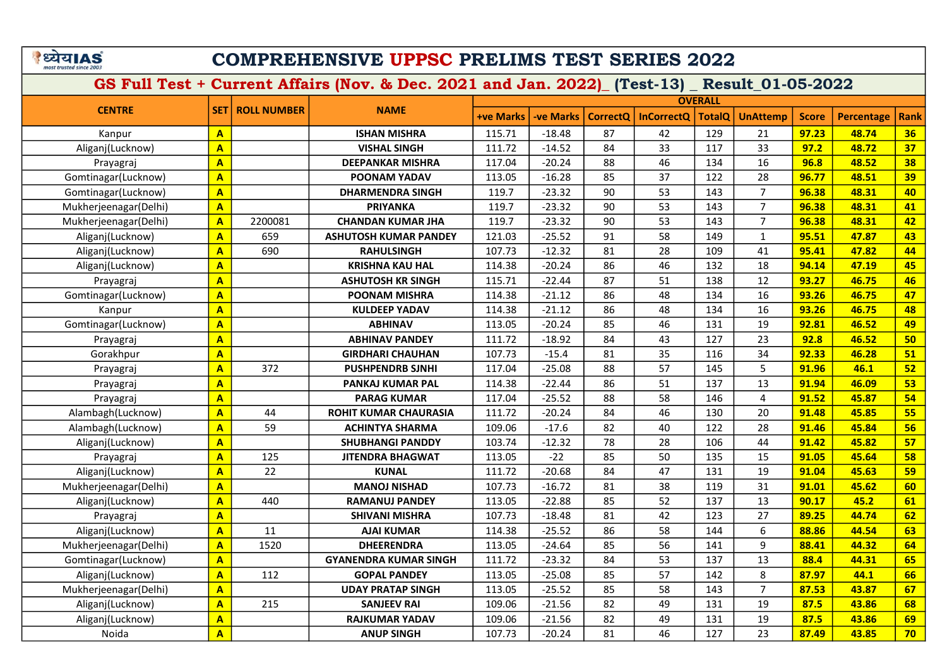|                         | यय।AS |  |
|-------------------------|-------|--|
| most trusted since 200. |       |  |

### COMPREHENSIVE UPPSC PRELIMS TEST SERIES 2022

|                       |                         |                    |                              |                  |                 |                 |                   | <b>OVERALL</b> |                 |              |                   |             |
|-----------------------|-------------------------|--------------------|------------------------------|------------------|-----------------|-----------------|-------------------|----------------|-----------------|--------------|-------------------|-------------|
| <b>CENTRE</b>         | <b>SET</b>              | <b>ROLL NUMBER</b> | <b>NAME</b>                  | <b>+ve Marks</b> | <b>ve Marks</b> | <b>CorrectO</b> | <b>InCorrectQ</b> | <b>TotalQ</b>  | <b>UnAttemp</b> | <b>Score</b> | <b>Percentage</b> | <b>Rank</b> |
| Kanpur                | $\overline{\mathbf{A}}$ |                    | <b>ISHAN MISHRA</b>          | 115.71           | $-18.48$        | 87              | 42                | 129            | 21              | 97.23        | 48.74             | 36          |
| Aliganj(Lucknow)      | $\overline{\mathbf{A}}$ |                    | <b>VISHAL SINGH</b>          | 111.72           | $-14.52$        | 84              | 33                | 117            | 33              | 97.2         | 48.72             | 37          |
| Prayagraj             | $\overline{\mathbf{A}}$ |                    | <b>DEEPANKAR MISHRA</b>      | 117.04           | $-20.24$        | 88              | 46                | 134            | 16              | 96.8         | 48.52             | 38          |
| Gomtinagar(Lucknow)   | $\overline{A}$          |                    | <b>POONAM YADAV</b>          | 113.05           | $-16.28$        | 85              | 37                | 122            | 28              | 96.77        | 48.51             | 39          |
| Gomtinagar(Lucknow)   | $\overline{\mathbf{A}}$ |                    | <b>DHARMENDRA SINGH</b>      | 119.7            | $-23.32$        | 90              | 53                | 143            | $\overline{7}$  | 96.38        | 48.31             | 40          |
| Mukherjeenagar(Delhi) | $\overline{\mathbf{A}}$ |                    | <b>PRIYANKA</b>              | 119.7            | $-23.32$        | 90              | 53                | 143            | $\overline{7}$  | 96.38        | 48.31             | 41          |
| Mukherjeenagar(Delhi) | $\mathbf{A}$            | 2200081            | <b>CHANDAN KUMAR JHA</b>     | 119.7            | $-23.32$        | 90              | 53                | 143            | $\overline{7}$  | 96.38        | 48.31             | 42          |
| Aliganj(Lucknow)      | $\overline{A}$          | 659                | <b>ASHUTOSH KUMAR PANDEY</b> | 121.03           | $-25.52$        | 91              | 58                | 149            | $\mathbf{1}$    | 95.51        | 47.87             | 43          |
| Aliganj(Lucknow)      | $\overline{A}$          | 690                | <b>RAHULSINGH</b>            | 107.73           | $-12.32$        | 81              | 28                | 109            | 41              | 95.41        | 47.82             | 44          |
| Aliganj(Lucknow)      | $\overline{\mathbf{A}}$ |                    | <b>KRISHNA KAU HAL</b>       | 114.38           | $-20.24$        | 86              | 46                | 132            | 18              | 94.14        | 47.19             | 45          |
| Prayagraj             | $\overline{\mathbf{A}}$ |                    | <b>ASHUTOSH KR SINGH</b>     | 115.71           | $-22.44$        | 87              | 51                | 138            | 12              | 93.27        | 46.75             | 46          |
| Gomtinagar(Lucknow)   | $\mathbf{A}$            |                    | <b>POONAM MISHRA</b>         | 114.38           | $-21.12$        | 86              | 48                | 134            | 16              | 93.26        | 46.75             | 47          |
| Kanpur                | $\overline{A}$          |                    | <b>KULDEEP YADAV</b>         | 114.38           | $-21.12$        | 86              | 48                | 134            | 16              | 93.26        | 46.75             | 48          |
| Gomtinagar(Lucknow)   | $\overline{\mathbf{A}}$ |                    | <b>ABHINAV</b>               | 113.05           | $-20.24$        | 85              | 46                | 131            | 19              | 92.81        | 46.52             | 49          |
| Prayagraj             | $\overline{\mathbf{A}}$ |                    | <b>ABHINAV PANDEY</b>        | 111.72           | $-18.92$        | 84              | 43                | 127            | 23              | 92.8         | 46.52             | 50          |
| Gorakhpur             | $\overline{\mathbf{A}}$ |                    | <b>GIRDHARI CHAUHAN</b>      | 107.73           | $-15.4$         | 81              | 35                | 116            | 34              | 92.33        | 46.28             | 51          |
| Prayagraj             | $\overline{A}$          | 372                | <b>PUSHPENDRB SJNHI</b>      | 117.04           | $-25.08$        | 88              | 57                | 145            | 5               | 91.96        | 46.1              | 52          |
| Prayagraj             | $\overline{A}$          |                    | <b>PANKAJ KUMAR PAL</b>      | 114.38           | $-22.44$        | 86              | 51                | 137            | 13              | 91.94        | 46.09             | 53          |
| Prayagraj             | $\overline{\mathbf{A}}$ |                    | <b>PARAG KUMAR</b>           | 117.04           | $-25.52$        | 88              | 58                | 146            | $\overline{4}$  | 91.52        | 45.87             | 54          |
| Alambagh(Lucknow)     | $\overline{\mathbf{A}}$ | 44                 | <b>ROHIT KUMAR CHAURASIA</b> | 111.72           | $-20.24$        | 84              | 46                | 130            | 20              | 91.48        | 45.85             | 55          |
| Alambagh(Lucknow)     | $\overline{A}$          | 59                 | <b>ACHINTYA SHARMA</b>       | 109.06           | $-17.6$         | 82              | 40                | 122            | 28              | 91.46        | 45.84             | 56          |
| Aliganj(Lucknow)      | $\overline{\mathbf{A}}$ |                    | <b>SHUBHANGI PANDDY</b>      | 103.74           | $-12.32$        | 78              | 28                | 106            | 44              | 91.42        | 45.82             | 57          |
| Prayagraj             | $\overline{\mathbf{A}}$ | 125                | <b>JITENDRA BHAGWAT</b>      | 113.05           | $-22$           | 85              | 50                | 135            | 15              | 91.05        | 45.64             | 58          |
| Aliganj(Lucknow)      | $\overline{\mathbf{A}}$ | 22                 | <b>KUNAL</b>                 | 111.72           | $-20.68$        | 84              | 47                | 131            | 19              | 91.04        | 45.63             | 59          |
| Mukherjeenagar(Delhi) | $\overline{\mathbf{A}}$ |                    | <b>MANOJ NISHAD</b>          | 107.73           | $-16.72$        | 81              | 38                | 119            | 31              | 91.01        | 45.62             | 60          |
| Aliganj(Lucknow)      | $\overline{\mathbf{A}}$ | 440                | <b>RAMANUJ PANDEY</b>        | 113.05           | $-22.88$        | 85              | 52                | 137            | 13              | 90.17        | 45.2              | 61          |
| Prayagraj             | $\mathbf{A}$            |                    | <b>SHIVANI MISHRA</b>        | 107.73           | $-18.48$        | 81              | 42                | 123            | 27              | 89.25        | 44.74             | 62          |
| Aliganj(Lucknow)      | $\overline{A}$          | 11                 | <b>AJAI KUMAR</b>            | 114.38           | $-25.52$        | 86              | 58                | 144            | 6               | 88.86        | 44.54             | 63          |
| Mukherjeenagar(Delhi) | $\overline{\mathbf{A}}$ | 1520               | <b>DHEERENDRA</b>            | 113.05           | $-24.64$        | 85              | 56                | 141            | 9               | 88.41        | 44.32             | 64          |
| Gomtinagar(Lucknow)   | $\overline{\mathbf{A}}$ |                    | <b>GYANENDRA KUMAR SINGH</b> | 111.72           | $-23.32$        | 84              | 53                | 137            | 13              | 88.4         | 44.31             | 65          |
| Aliganj(Lucknow)      | $\overline{A}$          | 112                | <b>GOPAL PANDEY</b>          | 113.05           | $-25.08$        | 85              | 57                | 142            | 8               | 87.97        | 44.1              | 66          |
| Mukherjeenagar(Delhi) | $\mathbf{A}$            |                    | <b>UDAY PRATAP SINGH</b>     | 113.05           | $-25.52$        | 85              | 58                | 143            | $\overline{7}$  | 87.53        | 43.87             | 67          |
| Aliganj(Lucknow)      | $\overline{\mathbf{A}}$ | 215                | <b>SANJEEV RAI</b>           | 109.06           | $-21.56$        | 82              | 49                | 131            | 19              | 87.5         | 43.86             | 68          |
| Aliganj(Lucknow)      | $\overline{\mathbf{A}}$ |                    | <b>RAJKUMAR YADAV</b>        | 109.06           | $-21.56$        | 82              | 49                | 131            | 19              | 87.5         | 43.86             | 69          |
| Noida                 | $\overline{\mathbf{A}}$ |                    | <b>ANUP SINGH</b>            | 107.73           | $-20.24$        | 81              | 46                | 127            | 23              | 87.49        | 43.85             | 70          |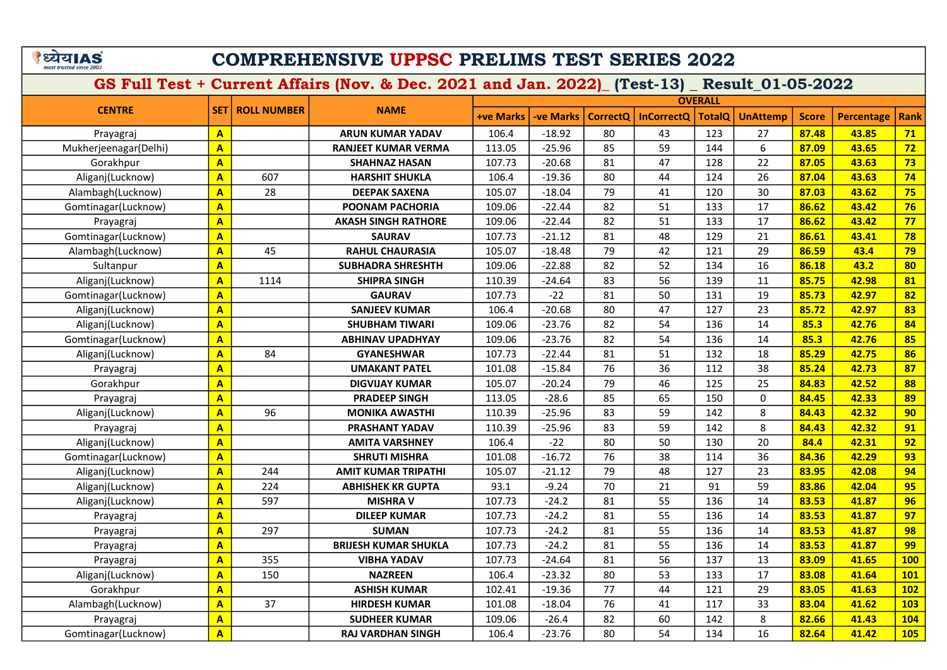# COMPREHENSIVE UPPSC PRELIMS TEST SERIES 2022

|                       |                         |                    |                             |                  |                  |                 |                   | <b>OVERALL</b> |                 |              |                   |             |
|-----------------------|-------------------------|--------------------|-----------------------------|------------------|------------------|-----------------|-------------------|----------------|-----------------|--------------|-------------------|-------------|
| <b>CENTRE</b>         | <b>SET</b>              | <b>ROLL NUMBER</b> | <b>NAME</b>                 | <b>+ve Marks</b> | <b>-ve Marks</b> | <b>CorrectQ</b> | <b>InCorrectQ</b> | <b>TotalQ</b>  | <b>UnAttemp</b> | <b>Score</b> | <b>Percentage</b> | <b>Rank</b> |
| Prayagraj             | $\mathbf{A}$            |                    | <b>ARUN KUMAR YADAV</b>     | 106.4            | $-18.92$         | 80              | 43                | 123            | 27              | 87.48        | 43.85             | 71          |
| Mukherjeenagar(Delhi) | $\overline{\mathbf{A}}$ |                    | <b>RANJEET KUMAR VERMA</b>  | 113.05           | $-25.96$         | 85              | 59                | 144            | 6               | 87.09        | 43.65             | 72          |
| Gorakhpur             | $\overline{\mathbf{A}}$ |                    | <b>SHAHNAZ HASAN</b>        | 107.73           | $-20.68$         | 81              | 47                | 128            | 22              | 87.05        | 43.63             | 73          |
| Aliganj(Lucknow)      | $\overline{\mathbf{A}}$ | 607                | <b>HARSHIT SHUKLA</b>       | 106.4            | $-19.36$         | 80              | 44                | 124            | 26              | 87.04        | 43.63             | 74          |
| Alambagh(Lucknow)     | $\overline{\mathbf{A}}$ | 28                 | <b>DEEPAK SAXENA</b>        | 105.07           | $-18.04$         | 79              | 41                | 120            | 30              | 87.03        | 43.62             | 75          |
| Gomtinagar(Lucknow)   | $\mathbf{A}$            |                    | POONAM PACHORIA             | 109.06           | $-22.44$         | 82              | 51                | 133            | 17              | 86.62        | 43.42             | 76          |
| Prayagraj             | $\mathbf{A}$            |                    | <b>AKASH SINGH RATHORE</b>  | 109.06           | $-22.44$         | 82              | 51                | 133            | 17              | 86.62        | 43.42             | 77          |
| Gomtinagar(Lucknow)   | $\overline{\mathbf{A}}$ |                    | <b>SAURAV</b>               | 107.73           | $-21.12$         | 81              | 48                | 129            | 21              | 86.61        | 43.41             | 78          |
| Alambagh(Lucknow)     | $\overline{\mathbf{A}}$ | 45                 | <b>RAHUL CHAURASIA</b>      | 105.07           | $-18.48$         | 79              | 42                | 121            | 29              | 86.59        | 43.4              | 79          |
| Sultanpur             | $\overline{\mathbf{A}}$ |                    | <b>SUBHADRA SHRESHTH</b>    | 109.06           | $-22.88$         | 82              | 52                | 134            | 16              | 86.18        | 43.2              | 80          |
| Aliganj(Lucknow)      | $\overline{\mathbf{A}}$ | 1114               | <b>SHIPRA SINGH</b>         | 110.39           | $-24.64$         | 83              | 56                | 139            | 11              | 85.75        | 42.98             | 81          |
| Gomtinagar(Lucknow)   | $\overline{A}$          |                    | <b>GAURAV</b>               | 107.73           | $-22$            | 81              | 50                | 131            | 19              | 85.73        | 42.97             | 82          |
| Aliganj(Lucknow)      | $\overline{A}$          |                    | <b>SANJEEV KUMAR</b>        | 106.4            | $-20.68$         | 80              | 47                | 127            | 23              | 85.72        | 42.97             | 83          |
| Aliganj(Lucknow)      | $\overline{A}$          |                    | <b>SHUBHAM TIWARI</b>       | 109.06           | $-23.76$         | 82              | 54                | 136            | 14              | 85.3         | 42.76             | 84          |
| Gomtinagar(Lucknow)   | $\overline{\mathbf{A}}$ |                    | <b>ABHINAV UPADHYAY</b>     | 109.06           | $-23.76$         | 82              | 54                | 136            | 14              | 85.3         | 42.76             | 85          |
| Aliganj(Lucknow)      | $\overline{\mathbf{A}}$ | 84                 | <b>GYANESHWAR</b>           | 107.73           | $-22.44$         | 81              | 51                | 132            | 18              | 85.29        | 42.75             | 86          |
| Prayagraj             | $\overline{\mathbf{A}}$ |                    | <b>UMAKANT PATEL</b>        | 101.08           | $-15.84$         | 76              | 36                | 112            | 38              | 85.24        | 42.73             | 87          |
| Gorakhpur             | $\overline{\mathbf{A}}$ |                    | <b>DIGVIJAY KUMAR</b>       | 105.07           | $-20.24$         | 79              | 46                | 125            | 25              | 84.83        | 42.52             | 88          |
| Prayagraj             | $\mathbf{A}$            |                    | <b>PRADEEP SINGH</b>        | 113.05           | $-28.6$          | 85              | 65                | 150            | 0               | 84.45        | 42.33             | 89          |
| Aliganj(Lucknow)      | $\overline{\mathbf{A}}$ | 96                 | <b>MONIKA AWASTHI</b>       | 110.39           | $-25.96$         | 83              | 59                | 142            | 8               | 84.43        | 42.32             | 90          |
| Prayagraj             | $\overline{\mathbf{A}}$ |                    | PRASHANT YADAV              | 110.39           | $-25.96$         | 83              | 59                | 142            | 8               | 84.43        | 42.32             | 91          |
| Aliganj(Lucknow)      | $\overline{A}$          |                    | <b>AMITA VARSHNEY</b>       | 106.4            | $-22$            | 80              | 50                | 130            | 20              | 84.4         | 42.31             | 92          |
| Gomtinagar(Lucknow)   | $\overline{\mathbf{A}}$ |                    | <b>SHRUTI MISHRA</b>        | 101.08           | $-16.72$         | 76              | 38                | 114            | 36              | 84.36        | 42.29             | 93          |
| Aliganj(Lucknow)      | $\overline{A}$          | 244                | <b>AMIT KUMAR TRIPATHI</b>  | 105.07           | $-21.12$         | 79              | 48                | 127            | 23              | 83.95        | 42.08             | 94          |
| Aliganj(Lucknow)      | $\overline{\mathbf{A}}$ | 224                | <b>ABHISHEK KR GUPTA</b>    | 93.1             | $-9.24$          | $\overline{70}$ | 21                | 91             | 59              | 83.86        | 42.04             | 95          |
| Aliganj(Lucknow)      | $\overline{\mathbf{A}}$ | 597                | <b>MISHRA V</b>             | 107.73           | $-24.2$          | 81              | 55                | 136            | 14              | 83.53        | 41.87             | 96          |
| Prayagraj             | $\overline{\mathbf{A}}$ |                    | <b>DILEEP KUMAR</b>         | 107.73           | $-24.2$          | 81              | 55                | 136            | 14              | 83.53        | 41.87             | 97          |
| Prayagraj             | $\overline{\mathbf{A}}$ | 297                | <b>SUMAN</b>                | 107.73           | $-24.2$          | 81              | 55                | 136            | 14              | 83.53        | 41.87             | 98          |
| Prayagraj             | $\overline{\mathbf{A}}$ |                    | <b>BRIJESH KUMAR SHUKLA</b> | 107.73           | $-24.2$          | 81              | 55                | 136            | 14              | 83.53        | 41.87             | 99          |
| Prayagraj             | $\overline{\mathbf{A}}$ | 355                | <b>VIBHA YADAV</b>          | 107.73           | $-24.64$         | 81              | 56                | 137            | 13              | 83.09        | 41.65             | <b>100</b>  |
| Aliganj(Lucknow)      | $\overline{\mathbf{A}}$ | 150                | <b>NAZREEN</b>              | 106.4            | $-23.32$         | 80              | 53                | 133            | 17              | 83.08        | 41.64             | <b>101</b>  |
| Gorakhpur             | $\overline{\mathbf{A}}$ |                    | <b>ASHISH KUMAR</b>         | 102.41           | $-19.36$         | 77              | 44                | 121            | 29              | 83.05        | 41.63             | 102         |
| Alambagh(Lucknow)     | $\overline{\mathbf{A}}$ | 37                 | <b>HIRDESH KUMAR</b>        | 101.08           | $-18.04$         | 76              | 41                | 117            | 33              | 83.04        | 41.62             | 103         |
| Prayagraj             | $\overline{\mathbf{A}}$ |                    | <b>SUDHEER KUMAR</b>        | 109.06           | $-26.4$          | 82              | 60                | 142            | 8               | 82.66        | 41.43             | 104         |
| Gomtinagar(Lucknow)   | $\overline{\mathsf{A}}$ |                    | <b>RAJ VARDHAN SINGH</b>    | 106.4            | $-23.76$         | 80              | 54                | 134            | 16              | 82.64        | 41.42             | <b>105</b>  |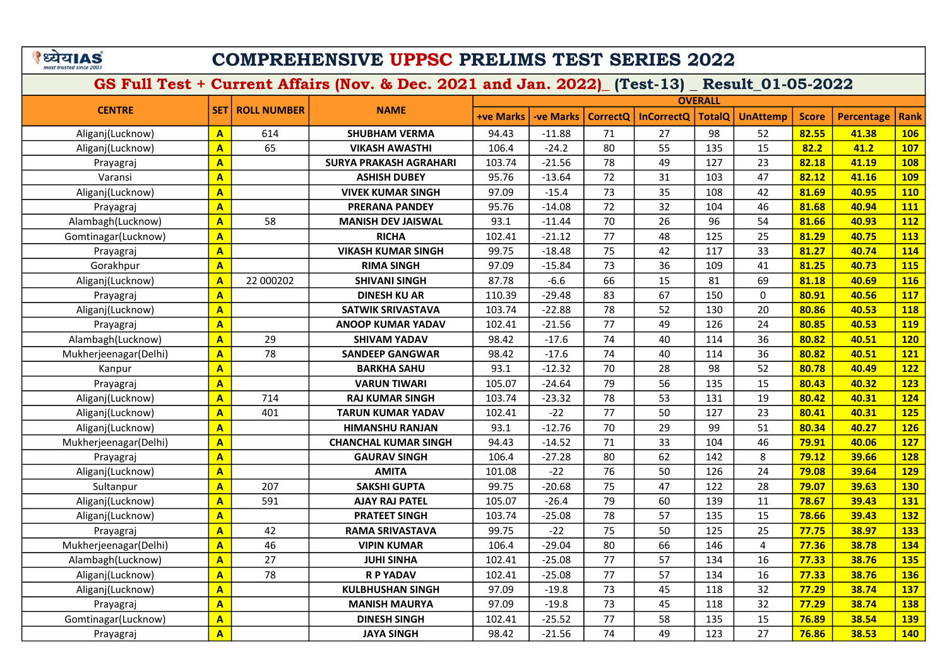# COMPREHENSIVE UPPSC PRELIMS TEST SERIES 2022

| <b>CENTRE</b>         |                         |                    |                               |                  |                  |                 |                   | <b>OVERALL</b> |                 |              |                   |             |
|-----------------------|-------------------------|--------------------|-------------------------------|------------------|------------------|-----------------|-------------------|----------------|-----------------|--------------|-------------------|-------------|
|                       | <b>SET</b>              | <b>ROLL NUMBER</b> | <b>NAME</b>                   | <b>+ve Marks</b> | <b>-ve Marks</b> | <b>CorrectO</b> | <b>InCorrectQ</b> | <b>TotalQ</b>  | <b>UnAttemp</b> | <b>Score</b> | <b>Percentage</b> | <b>Rank</b> |
| Aliganj(Lucknow)      | $\mathbf{A}$            | 614                | <b>SHUBHAM VERMA</b>          | 94.43            | $-11.88$         | 71              | 27                | 98             | 52              | 82.55        | 41.38             | <b>106</b>  |
| Aliganj(Lucknow)      | $\overline{\mathbf{A}}$ | 65                 | <b>VIKASH AWASTHI</b>         | 106.4            | $-24.2$          | 80              | 55                | 135            | 15              | 82.2         | 41.2              | <b>107</b>  |
| Prayagraj             | $\mathbf{A}$            |                    | <b>SURYA PRAKASH AGRAHARI</b> | 103.74           | $-21.56$         | 78              | 49                | 127            | 23              | 82.18        | 41.19             | <b>108</b>  |
| Varansi               | $\mathbf{A}$            |                    | <b>ASHISH DUBEY</b>           | 95.76            | $-13.64$         | 72              | 31                | 103            | 47              | 82.12        | 41.16             | <b>109</b>  |
| Aliganj(Lucknow)      | $\overline{\mathbf{A}}$ |                    | <b>VIVEK KUMAR SINGH</b>      | 97.09            | $-15.4$          | 73              | 35                | 108            | 42              | 81.69        | 40.95             | <b>110</b>  |
| Prayagraj             | $\mathbf{A}$            |                    | <b>PRERANA PANDEY</b>         | 95.76            | $-14.08$         | 72              | 32                | 104            | 46              | 81.68        | 40.94             | 111         |
| Alambagh(Lucknow)     | $\mathbf{A}$            | 58                 | <b>MANISH DEV JAISWAL</b>     | 93.1             | $-11.44$         | 70              | 26                | 96             | 54              | 81.66        | 40.93             | <b>112</b>  |
| Gomtinagar(Lucknow)   | $\overline{\mathbf{A}}$ |                    | <b>RICHA</b>                  | 102.41           | $-21.12$         | 77              | 48                | 125            | 25              | 81.29        | 40.75             | 113         |
| Prayagraj             | $\overline{\mathbf{A}}$ |                    | <b>VIKASH KUMAR SINGH</b>     | 99.75            | $-18.48$         | 75              | 42                | 117            | 33              | 81.27        | 40.74             | 114         |
| Gorakhpur             | $\overline{\mathbf{A}}$ |                    | <b>RIMA SINGH</b>             | 97.09            | $-15.84$         | 73              | 36                | 109            | 41              | 81.25        | 40.73             | <b>115</b>  |
| Aliganj(Lucknow)      | $\overline{A}$          | 22 000202          | <b>SHIVANI SINGH</b>          | 87.78            | $-6.6$           | 66              | 15                | 81             | 69              | 81.18        | 40.69             | <b>116</b>  |
| Prayagraj             | $\overline{\mathbf{A}}$ |                    | <b>DINESH KU AR</b>           | 110.39           | $-29.48$         | 83              | 67                | 150            | 0               | 80.91        | 40.56             | 117         |
| Aliganj(Lucknow)      | $\overline{\mathbf{A}}$ |                    | <b>SATWIK SRIVASTAVA</b>      | 103.74           | $-22.88$         | 78              | 52                | 130            | 20              | 80.86        | 40.53             | <b>118</b>  |
| Prayagraj             | $\overline{\mathbf{A}}$ |                    | <b>ANOOP KUMAR YADAV</b>      | 102.41           | $-21.56$         | 77              | 49                | 126            | 24              | 80.85        | 40.53             | <b>119</b>  |
| Alambagh(Lucknow)     | $\overline{\mathbf{A}}$ | 29                 | <b>SHIVAM YADAV</b>           | 98.42            | $-17.6$          | 74              | 40                | 114            | 36              | 80.82        | 40.51             | <b>120</b>  |
| Mukherjeenagar(Delhi) | $\mathbf{A}$            | 78                 | <b>SANDEEP GANGWAR</b>        | 98.42            | $-17.6$          | 74              | 40                | 114            | 36              | 80.82        | 40.51             | <b>121</b>  |
| Kanpur                | $\overline{A}$          |                    | <b>BARKHA SAHU</b>            | 93.1             | $-12.32$         | 70              | 28                | 98             | 52              | 80.78        | 40.49             | 122         |
| Prayagraj             | $\overline{\mathbf{A}}$ |                    | <b>VARUN TIWARI</b>           | 105.07           | $-24.64$         | 79              | 56                | 135            | 15              | 80.43        | 40.32             | 123         |
| Aliganj(Lucknow)      | $\overline{\mathbf{A}}$ | 714                | <b>RAJ KUMAR SINGH</b>        | 103.74           | $-23.32$         | 78              | 53                | 131            | 19              | 80.42        | 40.31             | 124         |
| Aliganj(Lucknow)      | $\overline{A}$          | 401                | <b>TARUN KUMAR YADAV</b>      | 102.41           | $-22$            | 77              | 50                | 127            | 23              | 80.41        | 40.31             | <b>125</b>  |
| Aliganj(Lucknow)      | $\overline{A}$          |                    | <b>HIMANSHU RANJAN</b>        | 93.1             | $-12.76$         | 70              | 29                | 99             | 51              | 80.34        | 40.27             | <b>126</b>  |
| Mukherjeenagar(Delhi) | $\overline{\mathbf{A}}$ |                    | <b>CHANCHAL KUMAR SINGH</b>   | 94.43            | $-14.52$         | 71              | 33                | 104            | 46              | 79.91        | 40.06             | 127         |
| Prayagraj             | $\overline{\mathbf{A}}$ |                    | <b>GAURAV SINGH</b>           | 106.4            | $-27.28$         | 80              | 62                | 142            | 8               | 79.12        | 39.66             | <b>128</b>  |
| Aliganj(Lucknow)      | $\overline{\mathbf{A}}$ |                    | <b>AMITA</b>                  | 101.08           | $-22$            | $\overline{76}$ | 50                | 126            | 24              | 79.08        | 39.64             | <b>129</b>  |
| Sultanpur             | $\overline{\mathbf{A}}$ | 207                | <b>SAKSHI GUPTA</b>           | 99.75            | $-20.68$         | 75              | 47                | 122            | 28              | 79.07        | 39.63             | <b>130</b>  |
| Aliganj(Lucknow)      | A                       | 591                | <b>AJAY RAJ PATEL</b>         | 105.07           | $-26.4$          | 79              | 60                | 139            | 11              | 78.67        | 39.43             | 131         |
| Aliganj(Lucknow)      | $\overline{\mathbf{A}}$ |                    | <b>PRATEET SINGH</b>          | 103.74           | $-25.08$         | 78              | 57                | 135            | 15              | 78.66        | 39.43             | <b>132</b>  |
| Prayagraj             | $\overline{\mathbf{A}}$ | 42                 | <b>RAMA SRIVASTAVA</b>        | 99.75            | $-22$            | 75              | 50                | 125            | 25              | 77.75        | 38.97             | 133         |
| Mukherjeenagar(Delhi) | $\overline{\mathbf{A}}$ | 46                 | <b>VIPIN KUMAR</b>            | 106.4            | $-29.04$         | 80              | 66                | 146            | $\overline{4}$  | 77.36        | 38.78             | 134         |
| Alambagh(Lucknow)     | $\overline{\mathbf{A}}$ | 27                 | <b>JUHI SINHA</b>             | 102.41           | $-25.08$         | 77              | 57                | 134            | 16              | 77.33        | 38.76             | <b>135</b>  |
| Aliganj(Lucknow)      | $\overline{\mathbf{A}}$ | 78                 | <b>R P YADAV</b>              | 102.41           | $-25.08$         | 77              | 57                | 134            | 16              | 77.33        | 38.76             | 136         |
| Aliganj(Lucknow)      | $\overline{\mathsf{A}}$ |                    | <b>KULBHUSHAN SINGH</b>       | 97.09            | $-19.8$          | 73              | 45                | 118            | 32              | 77.29        | 38.74             | <b>137</b>  |
| Prayagraj             | $\overline{\mathbf{A}}$ |                    | <b>MANISH MAURYA</b>          | 97.09            | $-19.8$          | 73              | 45                | 118            | 32              | 77.29        | 38.74             | <b>138</b>  |
| Gomtinagar(Lucknow)   | $\overline{\mathbf{A}}$ |                    | <b>DINESH SINGH</b>           | 102.41           | $-25.52$         | 77              | 58                | 135            | 15              | 76.89        | 38.54             | <b>139</b>  |
| Prayagraj             | $\overline{\mathsf{A}}$ |                    | <b>JAYA SINGH</b>             | 98.42            | $-21.56$         | 74              | 49                | 123            | 27              | 76.86        | 38.53             | <b>140</b>  |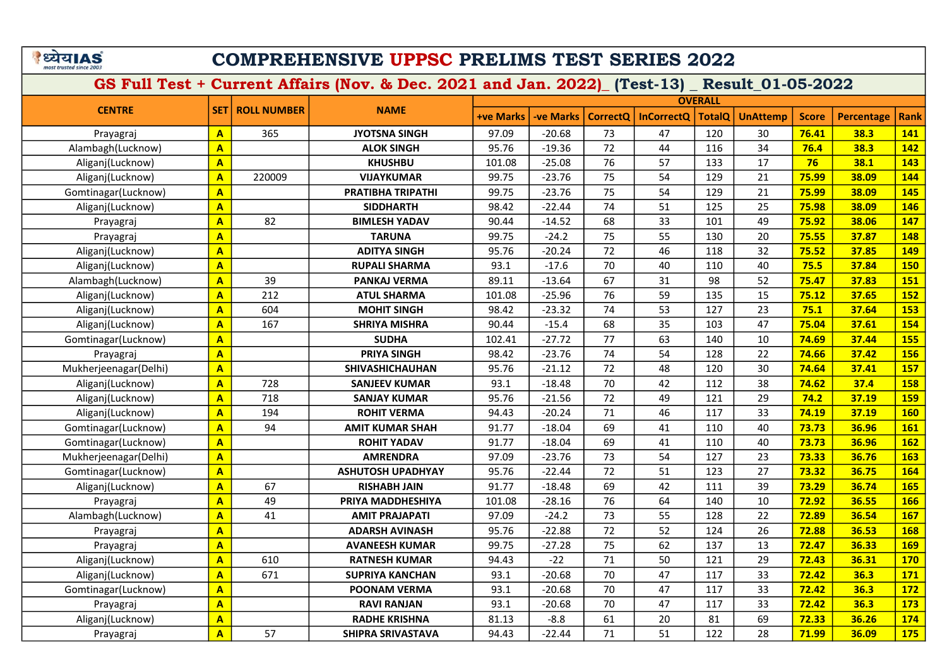# COMPREHENSIVE UPPSC PRELIMS TEST SERIES 2022

| <b>CENTRE</b>         |                         |                    |                          |                  |                 |                 |                   | <b>OVERALL</b> |                 |              |                   |             |
|-----------------------|-------------------------|--------------------|--------------------------|------------------|-----------------|-----------------|-------------------|----------------|-----------------|--------------|-------------------|-------------|
|                       | SET                     | <b>ROLL NUMBER</b> | <b>NAME</b>              | <b>+ve Marks</b> | <b>ve Marks</b> | <b>CorrectQ</b> | <b>InCorrectQ</b> | <b>TotalQ</b>  | <b>UnAttemp</b> | <b>Score</b> | <b>Percentage</b> | <b>Rank</b> |
| Prayagraj             | $\mathbf{A}$            | 365                | <b>JYOTSNA SINGH</b>     | 97.09            | $-20.68$        | 73              | 47                | 120            | 30              | 76.41        | 38.3              | <b>141</b>  |
| Alambagh(Lucknow)     | A                       |                    | <b>ALOK SINGH</b>        | 95.76            | $-19.36$        | 72              | 44                | 116            | 34              | 76.4         | 38.3              | 142         |
| Aliganj(Lucknow)      | $\mathbf{A}$            |                    | <b>KHUSHBU</b>           | 101.08           | $-25.08$        | 76              | 57                | 133            | 17              | 76           | 38.1              | 143         |
| Aliganj(Lucknow)      | A                       | 220009             | <b>VIJAYKUMAR</b>        | 99.75            | $-23.76$        | 75              | 54                | 129            | 21              | 75.99        | 38.09             | 144         |
| Gomtinagar(Lucknow)   | $\overline{A}$          |                    | <b>PRATIBHA TRIPATHI</b> | 99.75            | $-23.76$        | 75              | 54                | 129            | 21              | 75.99        | 38.09             | 145         |
| Aliganj(Lucknow)      | $\overline{\mathsf{A}}$ |                    | <b>SIDDHARTH</b>         | 98.42            | $-22.44$        | 74              | 51                | 125            | 25              | 75.98        | 38.09             | <b>146</b>  |
| Prayagraj             | A                       | 82                 | <b>BIMLESH YADAV</b>     | 90.44            | $-14.52$        | 68              | 33                | 101            | 49              | 75.92        | 38.06             | 147         |
| Prayagraj             | $\overline{\mathbf{A}}$ |                    | <b>TARUNA</b>            | 99.75            | $-24.2$         | 75              | 55                | 130            | 20              | 75.55        | 37.87             | 148         |
| Aliganj(Lucknow)      | $\overline{\mathsf{A}}$ |                    | <b>ADITYA SINGH</b>      | 95.76            | $-20.24$        | 72              | 46                | 118            | 32              | 75.52        | 37.85             | 149         |
| Aliganj(Lucknow)      | A                       |                    | <b>RUPALI SHARMA</b>     | 93.1             | $-17.6$         | 70              | 40                | 110            | 40              | 75.5         | 37.84             | 150         |
| Alambagh(Lucknow)     | A                       | 39                 | <b>PANKAJ VERMA</b>      | 89.11            | $-13.64$        | 67              | 31                | 98             | 52              | 75.47        | 37.83             | 151         |
| Aliganj(Lucknow)      | $\overline{\mathsf{A}}$ | 212                | <b>ATUL SHARMA</b>       | 101.08           | $-25.96$        | 76              | 59                | 135            | 15              | 75.12        | 37.65             | 152         |
| Aliganj(Lucknow)      | A                       | 604                | <b>MOHIT SINGH</b>       | 98.42            | $-23.32$        | 74              | 53                | 127            | 23              | 75.1         | 37.64             | 153         |
| Aliganj(Lucknow)      | $\overline{\mathsf{A}}$ | 167                | <b>SHRIYA MISHRA</b>     | 90.44            | $-15.4$         | 68              | 35                | 103            | 47              | 75.04        | 37.61             | 154         |
| Gomtinagar(Lucknow)   | $\overline{A}$          |                    | <b>SUDHA</b>             | 102.41           | $-27.72$        | 77              | 63                | 140            | 10              | 74.69        | 37.44             | 155         |
| Prayagraj             | $\overline{\mathsf{A}}$ |                    | <b>PRIYA SINGH</b>       | 98.42            | $-23.76$        | 74              | 54                | 128            | 22              | 74.66        | 37.42             | <b>156</b>  |
| Mukherjeenagar(Delhi) | $\overline{\mathbf{A}}$ |                    | SHIVASHICHAUHAN          | 95.76            | $-21.12$        | 72              | 48                | 120            | 30              | 74.64        | 37.41             | <b>157</b>  |
| Aliganj(Lucknow)      | $\overline{A}$          | 728                | <b>SANJEEV KUMAR</b>     | 93.1             | $-18.48$        | 70              | 42                | 112            | 38              | 74.62        | 37.4              | <b>158</b>  |
| Aliganj(Lucknow)      | $\overline{\mathsf{A}}$ | 718                | <b>SANJAY KUMAR</b>      | 95.76            | $-21.56$        | 72              | 49                | 121            | 29              | 74.2         | 37.19             | 159         |
| Aliganj(Lucknow)      | A                       | 194                | <b>ROHIT VERMA</b>       | 94.43            | $-20.24$        | 71              | 46                | 117            | 33              | 74.19        | 37.19             | 160         |
| Gomtinagar(Lucknow)   | A                       | 94                 | <b>AMIT KUMAR SHAH</b>   | 91.77            | $-18.04$        | 69              | 41                | 110            | 40              | 73.73        | 36.96             | <b>161</b>  |
| Gomtinagar(Lucknow)   | A                       |                    | <b>ROHIT YADAV</b>       | 91.77            | $-18.04$        | 69              | 41                | 110            | 40              | 73.73        | 36.96             | <b>162</b>  |
| Mukherjeenagar(Delhi) | $\overline{\mathbf{A}}$ |                    | <b>AMRENDRA</b>          | 97.09            | $-23.76$        | 73              | 54                | 127            | 23              | 73.33        | 36.76             | <b>163</b>  |
| Gomtinagar(Lucknow)   | A                       |                    | <b>ASHUTOSH UPADHYAY</b> | 95.76            | $-22.44$        | 72              | 51                | 123            | 27              | 73.32        | 36.75             | 164         |
| Aliganj(Lucknow)      | $\overline{\mathsf{A}}$ | 67                 | <b>RISHABH JAIN</b>      | 91.77            | $-18.48$        | 69              | 42                | 111            | 39              | 73.29        | 36.74             | <b>165</b>  |
| Prayagraj             | A                       | 49                 | PRIYA MADDHESHIYA        | 101.08           | $-28.16$        | 76              | 64                | 140            | 10              | 72.92        | 36.55             | <b>166</b>  |
| Alambagh(Lucknow)     | A                       | 41                 | <b>AMIT PRAJAPATI</b>    | 97.09            | $-24.2$         | 73              | 55                | 128            | 22              | 72.89        | 36.54             | <b>167</b>  |
| Prayagraj             | $\overline{A}$          |                    | <b>ADARSH AVINASH</b>    | 95.76            | $-22.88$        | 72              | 52                | 124            | 26              | 72.88        | 36.53             | 168         |
| Prayagraj             | $\overline{\mathbf{A}}$ |                    | <b>AVANEESH KUMAR</b>    | 99.75            | $-27.28$        | 75              | 62                | 137            | 13              | 72.47        | 36.33             | <b>169</b>  |
| Aliganj(Lucknow)      | A                       | 610                | <b>RATNESH KUMAR</b>     | 94.43            | $-22$           | 71              | 50                | 121            | 29              | 72.43        | 36.31             | <b>170</b>  |
| Aliganj(Lucknow)      | $\overline{\mathsf{A}}$ | 671                | <b>SUPRIYA KANCHAN</b>   | 93.1             | $-20.68$        | 70              | 47                | 117            | 33              | 72.42        | 36.3              | 171         |
| Gomtinagar(Lucknow)   | $\overline{\mathbf{A}}$ |                    | <b>POONAM VERMA</b>      | 93.1             | $-20.68$        | 70              | 47                | 117            | 33              | 72.42        | 36.3              | 172         |
| Prayagraj             | $\overline{\mathsf{A}}$ |                    | <b>RAVI RANJAN</b>       | 93.1             | $-20.68$        | 70              | 47                | 117            | 33              | 72.42        | 36.3              | 173         |
| Aliganj(Lucknow)      | $\overline{\mathbf{A}}$ |                    | <b>RADHE KRISHNA</b>     | 81.13            | $-8.8$          | 61              | 20                | 81             | 69              | 72.33        | 36.26             | 174         |
| Prayagraj             | $\overline{\mathbf{A}}$ | 57                 | SHIPRA SRIVASTAVA        | 94.43            | $-22.44$        | 71              | 51                | 122            | 28              | 71.99        | 36.09             | 175         |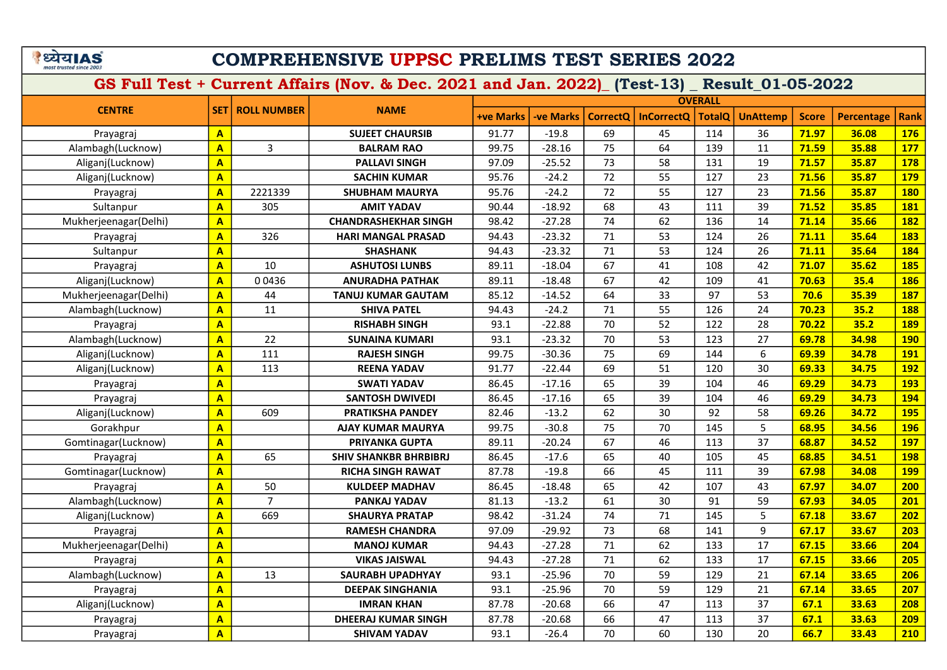# COMPREHENSIVE UPPSC PRELIMS TEST SERIES 2022

| <b>CENTRE</b>         |                         |                    |                              |                  |                  |                 |                   | <b>OVERALL</b> |                 |              |                   |             |
|-----------------------|-------------------------|--------------------|------------------------------|------------------|------------------|-----------------|-------------------|----------------|-----------------|--------------|-------------------|-------------|
|                       | <b>SET1</b>             | <b>ROLL NUMBER</b> | <b>NAME</b>                  | <b>+ve Marks</b> | <b>-ve Marks</b> | <b>CorrectO</b> | <b>InCorrectQ</b> | <b>TotalQ</b>  | <b>UnAttemp</b> | <b>Score</b> | <b>Percentage</b> | <b>Rank</b> |
| Prayagraj             | $\mathbf{A}$            |                    | <b>SUJEET CHAURSIB</b>       | 91.77            | $-19.8$          | 69              | 45                | 114            | 36              | 71.97        | 36.08             | 176         |
| Alambagh(Lucknow)     | $\mathbf{A}$            | 3                  | <b>BALRAM RAO</b>            | 99.75            | $-28.16$         | 75              | 64                | 139            | 11              | 71.59        | 35.88             | 177         |
| Aliganj(Lucknow)      | $\overline{\mathbf{A}}$ |                    | <b>PALLAVI SINGH</b>         | 97.09            | $-25.52$         | 73              | 58                | 131            | 19              | 71.57        | 35.87             | <b>178</b>  |
| Aliganj(Lucknow)      | $\overline{\mathsf{A}}$ |                    | <b>SACHIN KUMAR</b>          | 95.76            | $-24.2$          | 72              | 55                | 127            | 23              | 71.56        | 35.87             | <b>179</b>  |
| Prayagraj             | $\mathbf{A}$            | 2221339            | <b>SHUBHAM MAURYA</b>        | 95.76            | $-24.2$          | 72              | 55                | 127            | 23              | 71.56        | 35.87             | <b>180</b>  |
| Sultanpur             | $\mathbf{A}$            | 305                | <b>AMIT YADAV</b>            | 90.44            | $-18.92$         | 68              | 43                | 111            | 39              | 71.52        | 35.85             | <b>181</b>  |
| Mukherjeenagar(Delhi) | $\mathbf{A}$            |                    | <b>CHANDRASHEKHAR SINGH</b>  | 98.42            | $-27.28$         | 74              | 62                | 136            | 14              | 71.14        | 35.66             | <b>182</b>  |
| Prayagraj             | $\mathbf{A}$            | 326                | <b>HARI MANGAL PRASAD</b>    | 94.43            | $-23.32$         | 71              | 53                | 124            | 26              | 71.11        | 35.64             | <b>183</b>  |
| Sultanpur             | $\mathbf{A}$            |                    | <b>SHASHANK</b>              | 94.43            | $-23.32$         | 71              | 53                | 124            | 26              | 71.11        | 35.64             | 184         |
| Prayagraj             | $\overline{\mathbf{A}}$ | 10                 | <b>ASHUTOSI LUNBS</b>        | 89.11            | $-18.04$         | 67              | 41                | 108            | 42              | 71.07        | 35.62             | <b>185</b>  |
| Aliganj(Lucknow)      | $\overline{\mathbf{A}}$ | 00436              | <b>ANURADHA PATHAK</b>       | 89.11            | $-18.48$         | 67              | 42                | 109            | 41              | 70.63        | 35.4              | <b>186</b>  |
| Mukherjeenagar(Delhi) | $\overline{\mathbf{A}}$ | 44                 | <b>TANUJ KUMAR GAUTAM</b>    | 85.12            | $-14.52$         | 64              | 33                | 97             | 53              | 70.6         | 35.39             | 187         |
| Alambagh(Lucknow)     | $\mathbf{A}$            | 11                 | <b>SHIVA PATEL</b>           | 94.43            | $-24.2$          | 71              | 55                | 126            | 24              | 70.23        | 35.2              | <b>188</b>  |
| Prayagraj             | $\mathbf{A}$            |                    | RISHABH SINGH                | 93.1             | $-22.88$         | 70              | 52                | 122            | 28              | 70.22        | 35.2              | <b>189</b>  |
| Alambagh(Lucknow)     | $\overline{\mathbf{A}}$ | 22                 | <b>SUNAINA KUMARI</b>        | 93.1             | $-23.32$         | 70              | 53                | 123            | 27              | 69.78        | 34.98             | <b>190</b>  |
| Aliganj(Lucknow)      | $\overline{\mathbf{A}}$ | 111                | <b>RAJESH SINGH</b>          | 99.75            | $-30.36$         | 75              | 69                | 144            | 6               | 69.39        | 34.78             | <b>191</b>  |
| Aliganj(Lucknow)      | $\overline{A}$          | 113                | <b>REENA YADAV</b>           | 91.77            | $-22.44$         | 69              | 51                | 120            | 30              | 69.33        | 34.75             | <b>192</b>  |
| Prayagraj             | $\overline{\mathbf{A}}$ |                    | <b>SWATI YADAV</b>           | 86.45            | $-17.16$         | 65              | 39                | 104            | 46              | 69.29        | 34.73             | <b>193</b>  |
| Prayagraj             | $\overline{A}$          |                    | <b>SANTOSH DWIVEDI</b>       | 86.45            | $-17.16$         | 65              | 39                | 104            | 46              | 69.29        | 34.73             | 194         |
| Aliganj(Lucknow)      | $\overline{A}$          | 609                | <b>PRATIKSHA PANDEY</b>      | 82.46            | $-13.2$          | 62              | 30                | 92             | 58              | 69.26        | 34.72             | <b>195</b>  |
| Gorakhpur             | $\overline{\mathbf{A}}$ |                    | <b>AJAY KUMAR MAURYA</b>     | 99.75            | $-30.8$          | 75              | 70                | 145            | 5               | 68.95        | 34.56             | <b>196</b>  |
| Gomtinagar(Lucknow)   | A                       |                    | <b>PRIYANKA GUPTA</b>        | 89.11            | $-20.24$         | 67              | 46                | 113            | 37              | 68.87        | 34.52             | <b>197</b>  |
| Prayagraj             | $\overline{\mathbf{A}}$ | 65                 | <b>SHIV SHANKBR BHRBIBRJ</b> | 86.45            | $-17.6$          | 65              | 40                | 105            | 45              | 68.85        | 34.51             | <b>198</b>  |
| Gomtinagar(Lucknow)   | $\overline{\mathbf{A}}$ |                    | <b>RICHA SINGH RAWAT</b>     | 87.78            | $-19.8$          | 66              | 45                | 111            | 39              | 67.98        | 34.08             | <b>199</b>  |
| Prayagraj             | $\mathbf{A}$            | 50                 | <b>KULDEEP MADHAV</b>        | 86.45            | $-18.48$         | 65              | 42                | 107            | 43              | 67.97        | 34.07             | 200         |
| Alambagh(Lucknow)     | $\overline{A}$          | $\overline{7}$     | <b>PANKAJ YADAV</b>          | 81.13            | $-13.2$          | 61              | 30                | 91             | 59              | 67.93        | 34.05             | 201         |
| Aliganj(Lucknow)      | $\overline{\mathbf{A}}$ | 669                | <b>SHAURYA PRATAP</b>        | 98.42            | $-31.24$         | 74              | 71                | 145            | 5               | 67.18        | 33.67             | 202         |
| Prayagraj             | $\overline{\mathbf{A}}$ |                    | <b>RAMESH CHANDRA</b>        | 97.09            | $-29.92$         | 73              | 68                | 141            | 9               | 67.17        | 33.67             | 203         |
| Mukherjeenagar(Delhi) | $\overline{A}$          |                    | <b>MANOJ KUMAR</b>           | 94.43            | $-27.28$         | 71              | 62                | 133            | 17              | 67.15        | 33.66             | 204         |
| Prayagraj             | $\mathbf{A}$            |                    | <b>VIKAS JAISWAL</b>         | 94.43            | $-27.28$         | 71              | 62                | 133            | 17              | 67.15        | 33.66             | 205         |
| Alambagh(Lucknow)     | $\overline{\mathbf{A}}$ | 13                 | <b>SAURABH UPADHYAY</b>      | 93.1             | $-25.96$         | 70              | 59                | 129            | 21              | 67.14        | 33.65             | 206         |
| Prayagraj             | $\overline{\mathsf{A}}$ |                    | <b>DEEPAK SINGHANIA</b>      | 93.1             | $-25.96$         | 70              | 59                | 129            | 21              | 67.14        | 33.65             | 207         |
| Aliganj(Lucknow)      | $\overline{\mathbf{A}}$ |                    | <b>IMRAN KHAN</b>            | 87.78            | $-20.68$         | 66              | 47                | 113            | 37              | 67.1         | 33.63             | 208         |
| Prayagraj             | $\overline{\mathbf{A}}$ |                    | <b>DHEERAJ KUMAR SINGH</b>   | 87.78            | $-20.68$         | 66              | 47                | 113            | 37              | 67.1         | 33.63             | 209         |
| Prayagraj             | $\overline{\mathsf{A}}$ |                    | <b>SHIVAM YADAV</b>          | 93.1             | $-26.4$          | 70              | 60                | 130            | 20              | 66.7         | 33.43             | 210         |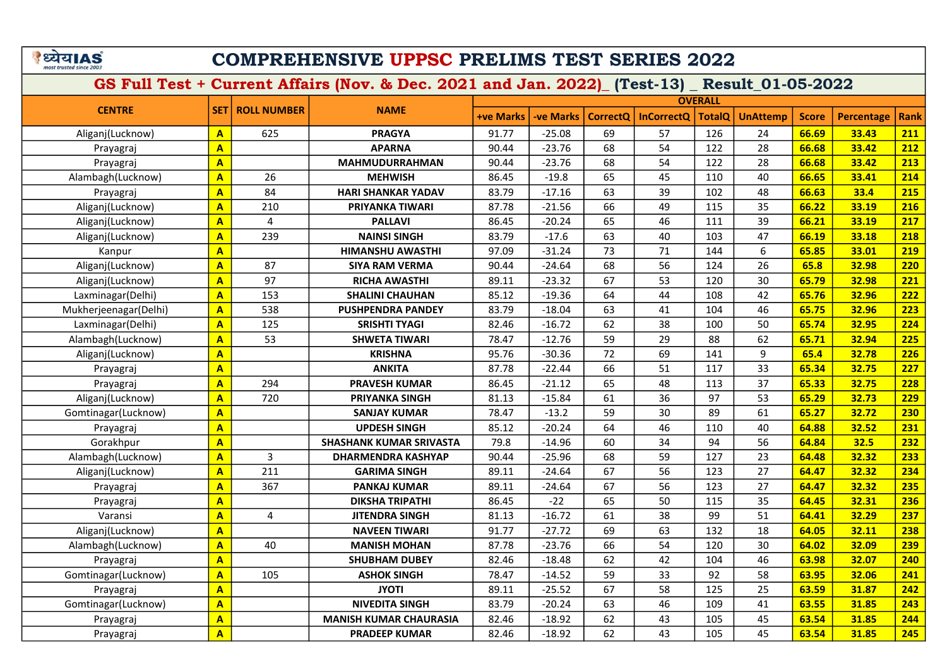# COMPREHENSIVE UPPSC PRELIMS TEST SERIES 2022

|                       |                         |                    |                                |                  |                  |                 |                   | <b>OVERALL</b> |                 |              |                   |             |
|-----------------------|-------------------------|--------------------|--------------------------------|------------------|------------------|-----------------|-------------------|----------------|-----------------|--------------|-------------------|-------------|
| <b>CENTRE</b>         | <b>SET</b>              | <b>ROLL NUMBER</b> | <b>NAME</b>                    | <b>+ve Marks</b> | <b>-ve Marks</b> | <b>CorrectQ</b> | <b>InCorrectQ</b> | <b>TotalQ</b>  | <b>UnAttemp</b> | <b>Score</b> | <b>Percentage</b> | <b>Rank</b> |
| Aliganj(Lucknow)      | $\mathbf{A}$            | 625                | <b>PRAGYA</b>                  | 91.77            | $-25.08$         | 69              | 57                | 126            | 24              | 66.69        | 33.43             | 211         |
| Prayagraj             | $\mathbf{A}$            |                    | <b>APARNA</b>                  | 90.44            | $-23.76$         | 68              | 54                | 122            | 28              | 66.68        | 33.42             | 212         |
| Prayagraj             | $\mathbf{A}$            |                    | <b>MAHMUDURRAHMAN</b>          | 90.44            | $-23.76$         | 68              | 54                | 122            | 28              | 66.68        | 33.42             | 213         |
| Alambagh(Lucknow)     | $\mathbf{A}$            | 26                 | <b>MEHWISH</b>                 | 86.45            | $-19.8$          | 65              | 45                | 110            | 40              | 66.65        | 33.41             | 214         |
| Prayagraj             | $\overline{\mathbf{A}}$ | 84                 | <b>HARI SHANKAR YADAV</b>      | 83.79            | $-17.16$         | 63              | 39                | 102            | 48              | 66.63        | 33.4              | 215         |
| Aliganj(Lucknow)      | $\mathbf{A}$            | 210                | PRIYANKA TIWARI                | 87.78            | $-21.56$         | 66              | 49                | 115            | 35              | 66.22        | 33.19             | 216         |
| Aliganj(Lucknow)      | $\mathbf{A}$            | $\overline{4}$     | <b>PALLAVI</b>                 | 86.45            | $-20.24$         | 65              | 46                | 111            | 39              | 66.21        | 33.19             | 217         |
| Aliganj(Lucknow)      | $\overline{\mathbf{A}}$ | 239                | <b>NAINSI SINGH</b>            | 83.79            | $-17.6$          | 63              | 40                | 103            | 47              | 66.19        | 33.18             | 218         |
| Kanpur                | $\overline{\mathbf{A}}$ |                    | <b>HIMANSHU AWASTHI</b>        | 97.09            | $-31.24$         | 73              | 71                | 144            | 6               | 65.85        | 33.01             | 219         |
| Aliganj(Lucknow)      | $\mathbf{A}$            | 87                 | <b>SIYA RAM VERMA</b>          | 90.44            | $-24.64$         | 68              | 56                | 124            | 26              | 65.8         | 32.98             | 220         |
| Aliganj(Lucknow)      | $\overline{\mathbf{A}}$ | 97                 | <b>RICHA AWASTHI</b>           | 89.11            | $-23.32$         | 67              | 53                | 120            | 30              | 65.79        | 32.98             | 221         |
| Laxminagar(Delhi)     | $\mathbf{A}$            | 153                | <b>SHALINI CHAUHAN</b>         | 85.12            | $-19.36$         | 64              | 44                | 108            | 42              | 65.76        | 32.96             | 222         |
| Mukherjeenagar(Delhi) | $\mathbf{A}$            | 538                | <b>PUSHPENDRA PANDEY</b>       | 83.79            | $-18.04$         | 63              | 41                | 104            | 46              | 65.75        | 32.96             | 223         |
| Laxminagar(Delhi)     | $\mathbf{A}$            | 125                | <b>SRISHTI TYAGI</b>           | 82.46            | $-16.72$         | 62              | 38                | 100            | 50              | 65.74        | 32.95             | 224         |
| Alambagh(Lucknow)     | $\mathbf{A}$            | 53                 | <b>SHWETA TIWARI</b>           | 78.47            | $-12.76$         | 59              | 29                | 88             | 62              | 65.71        | 32.94             | 225         |
| Aliganj(Lucknow)      | $\mathbf{A}$            |                    | <b>KRISHNA</b>                 | 95.76            | $-30.36$         | 72              | 69                | 141            | 9               | 65.4         | 32.78             | 226         |
| Prayagraj             | $\overline{\mathbf{A}}$ |                    | <b>ANKITA</b>                  | 87.78            | $-22.44$         | 66              | 51                | 117            | 33              | 65.34        | 32.75             | 227         |
| Prayagraj             | $\overline{A}$          | 294                | <b>PRAVESH KUMAR</b>           | 86.45            | $-21.12$         | 65              | 48                | 113            | 37              | 65.33        | 32.75             | 228         |
| Aliganj(Lucknow)      | $\overline{A}$          | 720                | <b>PRIYANKA SINGH</b>          | 81.13            | $-15.84$         | 61              | 36                | 97             | 53              | 65.29        | 32.73             | 229         |
| Gomtinagar(Lucknow)   | A                       |                    | <b>SANJAY KUMAR</b>            | 78.47            | $-13.2$          | 59              | 30                | 89             | 61              | 65.27        | 32.72             | 230         |
| Prayagraj             | A                       |                    | <b>UPDESH SINGH</b>            | 85.12            | $-20.24$         | 64              | 46                | 110            | 40              | 64.88        | 32.52             | 231         |
| Gorakhpur             | $\mathbf{A}$            |                    | <b>SHASHANK KUMAR SRIVASTA</b> | 79.8             | $-14.96$         | 60              | 34                | 94             | 56              | 64.84        | 32.5              | 232         |
| Alambagh(Lucknow)     | $\overline{\mathbf{A}}$ | 3                  | <b>DHARMENDRA KASHYAP</b>      | 90.44            | $-25.96$         | 68              | 59                | 127            | 23              | 64.48        | 32.32             | 233         |
| Aliganj(Lucknow)      | A                       | 211                | <b>GARIMA SINGH</b>            | 89.11            | $-24.64$         | 67              | $\overline{56}$   | 123            | 27              | 64.47        | 32.32             | 234         |
| Prayagraj             | A                       | 367                | <b>PANKAJ KUMAR</b>            | 89.11            | $-24.64$         | 67              | 56                | 123            | 27              | 64.47        | 32.32             | 235         |
| Prayagraj             | $\overline{\mathsf{A}}$ |                    | <b>DIKSHA TRIPATHI</b>         | 86.45            | $-22$            | 65              | 50                | 115            | 35              | 64.45        | 32.31             | 236         |
| Varansi               | $\overline{\mathbf{A}}$ | $\overline{4}$     | <b>JITENDRA SINGH</b>          | 81.13            | $-16.72$         | 61              | 38                | 99             | 51              | 64.41        | 32.29             | 237         |
| Aliganj(Lucknow)      | $\overline{\mathsf{A}}$ |                    | <b>NAVEEN TIWARI</b>           | 91.77            | $-27.72$         | 69              | 63                | 132            | 18              | 64.05        | 32.11             | 238         |
| Alambagh(Lucknow)     | $\overline{\mathsf{A}}$ | 40                 | <b>MANISH MOHAN</b>            | 87.78            | $-23.76$         | 66              | 54                | 120            | 30              | 64.02        | 32.09             | 239         |
| Prayagraj             | $\overline{A}$          |                    | <b>SHUBHAM DUBEY</b>           | 82.46            | $-18.48$         | 62              | 42                | 104            | 46              | 63.98        | 32.07             | 240         |
| Gomtinagar(Lucknow)   | $\overline{\mathsf{A}}$ | 105                | <b>ASHOK SINGH</b>             | 78.47            | $-14.52$         | 59              | 33                | 92             | 58              | 63.95        | 32.06             | 241         |
| Prayagraj             | $\overline{\mathsf{A}}$ |                    | <b>JYOTI</b>                   | 89.11            | $-25.52$         | 67              | 58                | 125            | 25              | 63.59        | 31.87             | 242         |
| Gomtinagar(Lucknow)   | $\overline{\mathsf{A}}$ |                    | <b>NIVEDITA SINGH</b>          | 83.79            | $-20.24$         | 63              | 46                | 109            | 41              | 63.55        | 31.85             | 243         |
| Prayagraj             | $\overline{\mathsf{A}}$ |                    | <b>MANISH KUMAR CHAURASIA</b>  | 82.46            | $-18.92$         | 62              | 43                | 105            | 45              | 63.54        | 31.85             | 244         |
| Prayagraj             | $\overline{\mathsf{A}}$ |                    | <b>PRADEEP KUMAR</b>           | 82.46            | $-18.92$         | 62              | 43                | 105            | 45              | 63.54        | 31.85             | 245         |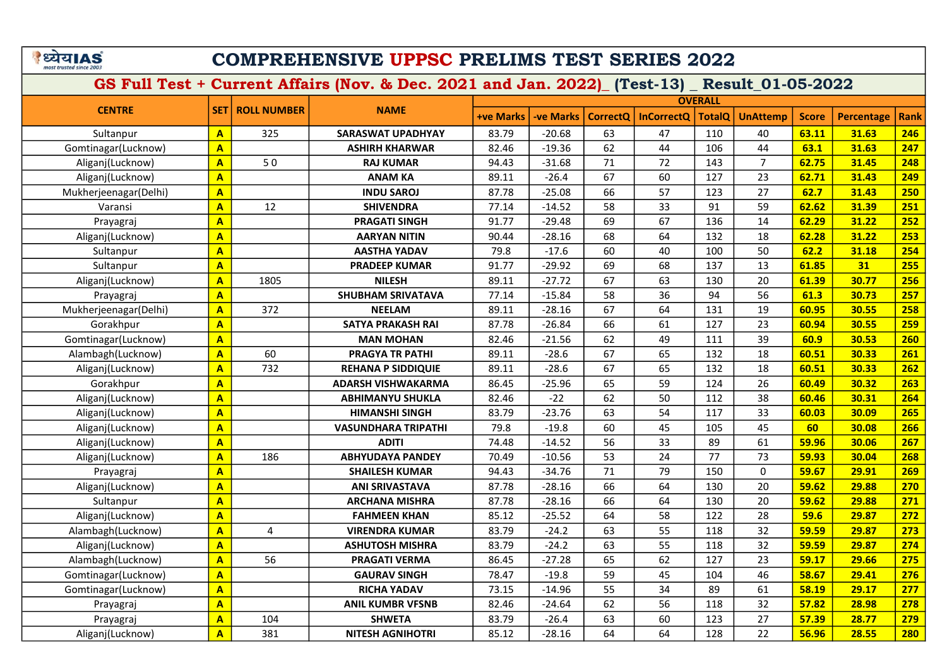### COMPREHENSIVE UPPSC PRELIMS TEST SERIES 2022

| <b>CENTRE</b>         |                         |                    |                            |                  |           |                 |                   | <b>OVERALL</b> |                 |              |                   |             |
|-----------------------|-------------------------|--------------------|----------------------------|------------------|-----------|-----------------|-------------------|----------------|-----------------|--------------|-------------------|-------------|
|                       | <b>SET</b>              | <b>ROLL NUMBER</b> | <b>NAME</b>                | <b>+ve Marks</b> | -ve Marks | <b>CorrectQ</b> | <b>InCorrectQ</b> | <b>TotalQ</b>  | <b>UnAttemp</b> | <b>Score</b> | <b>Percentage</b> | <b>Rank</b> |
| Sultanpur             | $\mathbf{A}$            | 325                | <b>SARASWAT UPADHYAY</b>   | 83.79            | $-20.68$  | 63              | 47                | 110            | 40              | 63.11        | 31.63             | 246         |
| Gomtinagar(Lucknow)   | $\overline{\mathbf{A}}$ |                    | <b>ASHIRH KHARWAR</b>      | 82.46            | $-19.36$  | 62              | 44                | 106            | 44              | 63.1         | 31.63             | 247         |
| Aliganj(Lucknow)      | $\mathbf{A}$            | 50                 | <b>RAJ KUMAR</b>           | 94.43            | $-31.68$  | 71              | 72                | 143            | $\overline{7}$  | 62.75        | 31.45             | 248         |
| Aliganj(Lucknow)      | $\overline{\mathbf{A}}$ |                    | <b>ANAM KA</b>             | 89.11            | $-26.4$   | 67              | 60                | 127            | 23              | 62.71        | 31.43             | 249         |
| Mukherjeenagar(Delhi) | $\overline{\mathbf{A}}$ |                    | <b>INDU SAROJ</b>          | 87.78            | $-25.08$  | 66              | 57                | 123            | 27              | 62.7         | 31.43             | 250         |
| Varansi               | $\overline{\mathsf{A}}$ | 12                 | <b>SHIVENDRA</b>           | 77.14            | $-14.52$  | 58              | 33                | 91             | 59              | 62.62        | 31.39             | 251         |
| Prayagraj             | $\overline{\mathbf{A}}$ |                    | <b>PRAGATI SINGH</b>       | 91.77            | $-29.48$  | 69              | 67                | 136            | 14              | 62.29        | 31.22             | 252         |
| Aliganj(Lucknow)      | $\overline{\mathsf{A}}$ |                    | <b>AARYAN NITIN</b>        | 90.44            | $-28.16$  | 68              | 64                | 132            | 18              | 62.28        | 31.22             | 253         |
| Sultanpur             | $\overline{\mathbf{A}}$ |                    | <b>AASTHA YADAV</b>        | 79.8             | $-17.6$   | 60              | 40                | 100            | 50              | 62.2         | 31.18             | 254         |
| Sultanpur             | $\overline{\mathbf{A}}$ |                    | <b>PRADEEP KUMAR</b>       | 91.77            | $-29.92$  | 69              | 68                | 137            | 13              | 61.85        | 31                | 255         |
| Aliganj(Lucknow)      | $\overline{\mathbf{A}}$ | 1805               | <b>NILESH</b>              | 89.11            | $-27.72$  | 67              | 63                | 130            | 20              | 61.39        | 30.77             | 256         |
| Prayagraj             | $\mathbf{A}$            |                    | <b>SHUBHAM SRIVATAVA</b>   | 77.14            | $-15.84$  | 58              | 36                | 94             | 56              | 61.3         | 30.73             | 257         |
| Mukherjeenagar(Delhi) | $\mathbf{A}$            | 372                | <b>NEELAM</b>              | 89.11            | $-28.16$  | 67              | 64                | 131            | 19              | 60.95        | 30.55             | 258         |
| Gorakhpur             | $\overline{\mathbf{A}}$ |                    | <b>SATYA PRAKASH RAI</b>   | 87.78            | $-26.84$  | 66              | 61                | 127            | 23              | 60.94        | 30.55             | 259         |
| Gomtinagar(Lucknow)   | $\overline{\mathbf{A}}$ |                    | <b>MAN MOHAN</b>           | 82.46            | $-21.56$  | 62              | 49                | 111            | 39              | 60.9         | 30.53             | 260         |
| Alambagh(Lucknow)     | $\mathbf{A}$            | 60                 | <b>PRAGYA TR PATHI</b>     | 89.11            | $-28.6$   | 67              | 65                | 132            | 18              | 60.51        | 30.33             | 261         |
| Aliganj(Lucknow)      | $\mathbf{A}$            | 732                | <b>REHANA P SIDDIQUIE</b>  | 89.11            | $-28.6$   | 67              | 65                | 132            | 18              | 60.51        | 30.33             | 262         |
| Gorakhpur             | $\mathbf{A}$            |                    | ADARSH VISHWAKARMA         | 86.45            | $-25.96$  | 65              | 59                | 124            | 26              | 60.49        | 30.32             | 263         |
| Aliganj(Lucknow)      | $\mathbf{A}$            |                    | ABHIMANYU SHUKLA           | 82.46            | $-22$     | 62              | 50                | 112            | 38              | 60.46        | 30.31             | 264         |
| Aliganj(Lucknow)      | $\mathbf{A}$            |                    | <b>HIMANSHI SINGH</b>      | 83.79            | $-23.76$  | 63              | 54                | 117            | 33              | 60.03        | 30.09             | 265         |
| Aliganj(Lucknow)      | $\mathbf{A}$            |                    | <b>VASUNDHARA TRIPATHI</b> | 79.8             | $-19.8$   | 60              | 45                | 105            | 45              | 60           | 30.08             | 266         |
| Aliganj(Lucknow)      | $\overline{\mathbf{A}}$ |                    | <b>ADITI</b>               | 74.48            | $-14.52$  | 56              | 33                | 89             | 61              | 59.96        | 30.06             | 267         |
| Aliganj(Lucknow)      | $\overline{\mathbf{A}}$ | 186                | <b>ABHYUDAYA PANDEY</b>    | 70.49            | $-10.56$  | 53              | 24                | 77             | 73              | 59.93        | 30.04             | 268         |
| Prayagraj             | $\overline{\mathbf{A}}$ |                    | <b>SHAILESH KUMAR</b>      | 94.43            | $-34.76$  | 71              | 79                | 150            | $\mathbf 0$     | 59.67        | 29.91             | 269         |
| Aliganj(Lucknow)      | $\overline{\mathbf{A}}$ |                    | <b>ANI SRIVASTAVA</b>      | 87.78            | $-28.16$  | 66              | 64                | 130            | 20              | 59.62        | 29.88             | 270         |
| Sultanpur             | $\mathbf{A}$            |                    | <b>ARCHANA MISHRA</b>      | 87.78            | $-28.16$  | 66              | 64                | 130            | 20              | 59.62        | 29.88             | 271         |
| Aliganj(Lucknow)      | $\overline{\mathbf{A}}$ |                    | <b>FAHMEEN KHAN</b>        | 85.12            | $-25.52$  | 64              | 58                | 122            | 28              | 59.6         | 29.87             | 272         |
| Alambagh(Lucknow)     | $\mathbf{A}$            | 4                  | <b>VIRENDRA KUMAR</b>      | 83.79            | $-24.2$   | 63              | 55                | 118            | 32              | 59.59        | 29.87             | 273         |
| Aliganj(Lucknow)      | $\mathbf{A}$            |                    | <b>ASHUTOSH MISHRA</b>     | 83.79            | $-24.2$   | 63              | 55                | 118            | 32              | 59.59        | 29.87             | 274         |
| Alambagh(Lucknow)     | $\overline{\mathbf{A}}$ | 56                 | <b>PRAGATI VERMA</b>       | 86.45            | $-27.28$  | 65              | 62                | 127            | 23              | 59.17        | 29.66             | 275         |
| Gomtinagar(Lucknow)   | $\overline{\mathbf{A}}$ |                    | <b>GAURAV SINGH</b>        | 78.47            | $-19.8$   | 59              | 45                | 104            | 46              | 58.67        | 29.41             | 276         |
| Gomtinagar(Lucknow)   | $\mathbf{A}$            |                    | <b>RICHA YADAV</b>         | 73.15            | $-14.96$  | 55              | 34                | 89             | 61              | 58.19        | 29.17             | 277         |
| Prayagraj             | $\mathbf{A}$            |                    | <b>ANIL KUMBR VFSNB</b>    | 82.46            | $-24.64$  | 62              | 56                | 118            | 32              | 57.82        | 28.98             | 278         |
| Prayagraj             | $\mathbf{A}$            | 104                | <b>SHWETA</b>              | 83.79            | $-26.4$   | 63              | 60                | 123            | 27              | 57.39        | 28.77             | 279         |
| Aliganj(Lucknow)      | $\mathbf{A}$            | 381                | <b>NITESH AGNIHOTRI</b>    | 85.12            | $-28.16$  | 64              | 64                | 128            | 22              | 56.96        | 28.55             | 280         |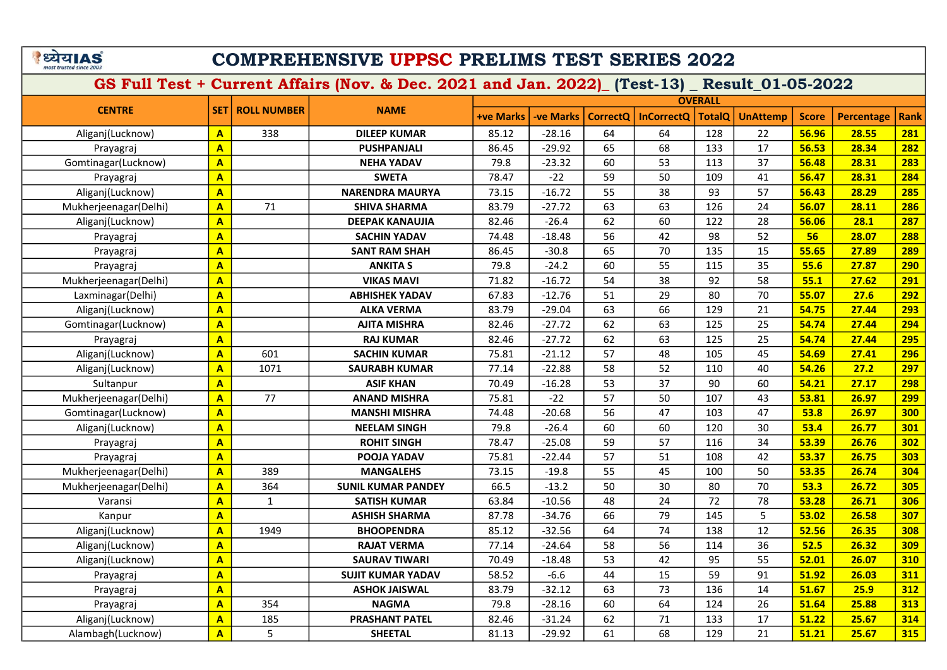# COMPREHENSIVE UPPSC PRELIMS TEST SERIES 2022

|                       |                         |                    |                           |                  |                  |                 |                   | <b>OVERALL</b> |                 |              |                   |             |
|-----------------------|-------------------------|--------------------|---------------------------|------------------|------------------|-----------------|-------------------|----------------|-----------------|--------------|-------------------|-------------|
| <b>CENTRE</b>         | <b>SET</b>              | <b>ROLL NUMBER</b> | <b>NAME</b>               | <b>+ve Marks</b> | <b>-ve Marks</b> | <b>CorrectO</b> | <b>InCorrectO</b> | <b>TotalQ</b>  | <b>UnAttemp</b> | <b>Score</b> | <b>Percentage</b> | <b>Rank</b> |
| Aliganj(Lucknow)      | $\overline{A}$          | 338                | <b>DILEEP KUMAR</b>       | 85.12            | $-28.16$         | 64              | 64                | 128            | 22              | 56.96        | 28.55             | 281         |
| Prayagraj             | $\overline{\mathbf{A}}$ |                    | <b>PUSHPANJALI</b>        | 86.45            | $-29.92$         | 65              | 68                | 133            | 17              | 56.53        | 28.34             | 282         |
| Gomtinagar(Lucknow)   | $\overline{\mathsf{A}}$ |                    | <b>NEHA YADAV</b>         | 79.8             | $-23.32$         | 60              | 53                | 113            | 37              | 56.48        | 28.31             | 283         |
| Prayagraj             | $\overline{\mathsf{A}}$ |                    | <b>SWETA</b>              | 78.47            | $-22$            | 59              | 50                | 109            | 41              | 56.47        | 28.31             | 284         |
| Aliganj(Lucknow)      | $\overline{\mathbf{A}}$ |                    | <b>NARENDRA MAURYA</b>    | 73.15            | $-16.72$         | 55              | 38                | 93             | 57              | 56.43        | 28.29             | 285         |
| Mukherjeenagar(Delhi) | $\overline{A}$          | 71                 | <b>SHIVA SHARMA</b>       | 83.79            | $-27.72$         | 63              | 63                | 126            | 24              | 56.07        | 28.11             | 286         |
| Aliganj(Lucknow)      | $\overline{\mathsf{A}}$ |                    | <b>DEEPAK KANAUJIA</b>    | 82.46            | $-26.4$          | 62              | 60                | 122            | 28              | 56.06        | 28.1              | 287         |
| Prayagraj             | $\overline{\mathsf{A}}$ |                    | <b>SACHIN YADAV</b>       | 74.48            | $-18.48$         | 56              | 42                | 98             | 52              | 56           | 28.07             | 288         |
| Prayagraj             | $\overline{\mathsf{A}}$ |                    | <b>SANT RAM SHAH</b>      | 86.45            | $-30.8$          | 65              | 70                | 135            | 15              | 55.65        | 27.89             | 289         |
| Prayagraj             | $\overline{\mathsf{A}}$ |                    | <b>ANKITA S</b>           | 79.8             | $-24.2$          | 60              | 55                | 115            | 35              | 55.6         | 27.87             | 290         |
| Mukherjeenagar(Delhi) | $\overline{\mathbf{A}}$ |                    | <b>VIKAS MAVI</b>         | 71.82            | $-16.72$         | 54              | 38                | 92             | 58              | 55.1         | 27.62             | 291         |
| Laxminagar(Delhi)     | $\overline{\mathbf{A}}$ |                    | <b>ABHISHEK YADAV</b>     | 67.83            | $-12.76$         | 51              | 29                | 80             | 70              | 55.07        | 27.6              | 292         |
| Aliganj(Lucknow)      | $\overline{\mathsf{A}}$ |                    | <b>ALKA VERMA</b>         | 83.79            | $-29.04$         | 63              | 66                | 129            | 21              | 54.75        | 27.44             | 293         |
| Gomtinagar(Lucknow)   | $\overline{\mathsf{A}}$ |                    | <b>AJITA MISHRA</b>       | 82.46            | $-27.72$         | 62              | 63                | 125            | 25              | 54.74        | 27.44             | 294         |
| Prayagraj             | $\overline{\mathbf{A}}$ |                    | <b>RAJ KUMAR</b>          | 82.46            | $-27.72$         | 62              | 63                | 125            | 25              | 54.74        | 27.44             | 295         |
| Aliganj(Lucknow)      | $\overline{\mathsf{A}}$ | 601                | <b>SACHIN KUMAR</b>       | 75.81            | $-21.12$         | 57              | 48                | 105            | 45              | 54.69        | 27.41             | 296         |
| Aliganj(Lucknow)      | $\overline{\mathbf{A}}$ | 1071               | <b>SAURABH KUMAR</b>      | 77.14            | $-22.88$         | 58              | 52                | 110            | 40              | 54.26        | 27.2              | 297         |
| Sultanpur             | $\overline{\mathbf{A}}$ |                    | <b>ASIF KHAN</b>          | 70.49            | $-16.28$         | 53              | 37                | 90             | 60              | 54.21        | 27.17             | 298         |
| Mukherjeenagar(Delhi) | $\overline{A}$          | 77                 | <b>ANAND MISHRA</b>       | 75.81            | $-22$            | 57              | 50                | 107            | 43              | 53.81        | 26.97             | 299         |
| Gomtinagar(Lucknow)   | $\overline{\mathbf{A}}$ |                    | <b>MANSHI MISHRA</b>      | 74.48            | $-20.68$         | 56              | 47                | 103            | 47              | 53.8         | 26.97             | 300         |
| Aliganj(Lucknow)      | $\overline{\mathbf{A}}$ |                    | <b>NEELAM SINGH</b>       | 79.8             | $-26.4$          | 60              | 60                | 120            | 30              | 53.4         | 26.77             | 301         |
| Prayagraj             | A                       |                    | <b>ROHIT SINGH</b>        | 78.47            | $-25.08$         | 59              | 57                | 116            | 34              | 53.39        | 26.76             | 302         |
| Prayagraj             | $\overline{\mathbf{A}}$ |                    | POOJA YADAV               | 75.81            | $-22.44$         | 57              | 51                | 108            | 42              | 53.37        | 26.75             | 303         |
| Mukherjeenagar(Delhi) | $\overline{A}$          | 389                | <b>MANGALEHS</b>          | 73.15            | $-19.8$          | 55              | 45                | 100            | 50              | 53.35        | 26.74             | 304         |
| Mukherjeenagar(Delhi) | $\overline{\mathsf{A}}$ | 364                | <b>SUNIL KUMAR PANDEY</b> | 66.5             | $-13.2$          | 50              | 30                | 80             | 70              | 53.3         | 26.72             | 305         |
| Varansi               | $\overline{\mathbf{A}}$ | $\mathbf 1$        | <b>SATISH KUMAR</b>       | 63.84            | $-10.56$         | 48              | 24                | 72             | 78              | 53.28        | 26.71             | 306         |
| Kanpur                | $\overline{\mathsf{A}}$ |                    | <b>ASHISH SHARMA</b>      | 87.78            | $-34.76$         | 66              | 79                | 145            | 5               | 53.02        | 26.58             | 307         |
| Aliganj(Lucknow)      | $\overline{\mathbf{A}}$ | 1949               | <b>BHOOPENDRA</b>         | 85.12            | $-32.56$         | 64              | 74                | 138            | 12              | 52.56        | 26.35             | 308         |
| Aliganj(Lucknow)      | $\overline{\mathsf{A}}$ |                    | <b>RAJAT VERMA</b>        | 77.14            | $-24.64$         | 58              | 56                | 114            | 36              | 52.5         | 26.32             | <b>309</b>  |
| Aliganj(Lucknow)      | $\overline{\mathsf{A}}$ |                    | <b>SAURAV TIWARI</b>      | 70.49            | $-18.48$         | 53              | 42                | 95             | 55              | 52.01        | 26.07             | 310         |
| Prayagraj             | $\overline{\mathsf{A}}$ |                    | <b>SUJIT KUMAR YADAV</b>  | 58.52            | $-6.6$           | 44              | 15                | 59             | 91              | 51.92        | 26.03             | 311         |
| Prayagraj             | $\overline{\mathsf{A}}$ |                    | <b>ASHOK JAISWAL</b>      | 83.79            | $-32.12$         | 63              | 73                | 136            | 14              | 51.67        | 25.9              | 312         |
| Prayagraj             | $\overline{A}$          | 354                | <b>NAGMA</b>              | 79.8             | $-28.16$         | 60              | 64                | 124            | 26              | 51.64        | 25.88             | 313         |
| Aliganj(Lucknow)      | $\overline{\mathsf{A}}$ | 185                | <b>PRASHANT PATEL</b>     | 82.46            | $-31.24$         | 62              | 71                | 133            | 17              | 51.22        | 25.67             | 314         |
| Alambagh(Lucknow)     | $\overline{\mathsf{A}}$ | 5                  | <b>SHEETAL</b>            | 81.13            | $-29.92$         | 61              | 68                | 129            | 21              | 51.21        | 25.67             | 315         |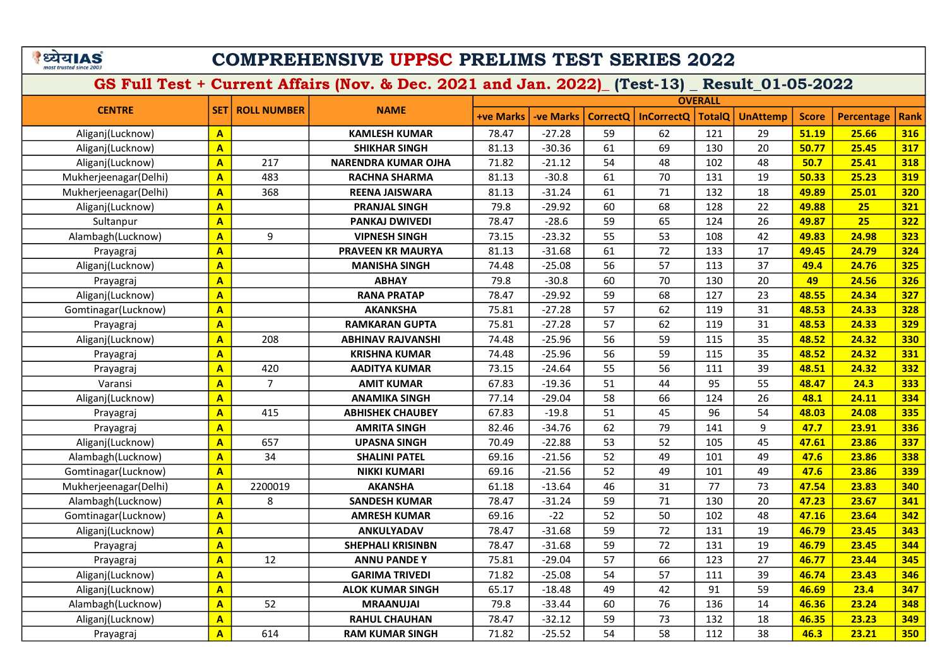# COMPREHENSIVE UPPSC PRELIMS TEST SERIES 2022

|                       |                         |                    |                            |                  |                  |                 |                   | <b>OVERALL</b> |                 |              |                   |             |
|-----------------------|-------------------------|--------------------|----------------------------|------------------|------------------|-----------------|-------------------|----------------|-----------------|--------------|-------------------|-------------|
| <b>CENTRE</b>         | <b>SET</b>              | <b>ROLL NUMBER</b> | <b>NAME</b>                | <b>+ve Marks</b> | <b>-ve Marks</b> | <b>CorrectQ</b> | <b>InCorrectQ</b> | <b>TotalQ</b>  | <b>UnAttemp</b> | <b>Score</b> | <b>Percentage</b> | <b>Rank</b> |
| Aliganj(Lucknow)      | $\mathbf{A}$            |                    | <b>KAMLESH KUMAR</b>       | 78.47            | $-27.28$         | 59              | 62                | 121            | 29              | 51.19        | 25.66             | 316         |
| Aliganj(Lucknow)      | $\mathbf{A}$            |                    | <b>SHIKHAR SINGH</b>       | 81.13            | $-30.36$         | 61              | 69                | 130            | 20              | 50.77        | 25.45             | 317         |
| Aliganj(Lucknow)      | $\mathbf{A}$            | 217                | <b>NARENDRA KUMAR OJHA</b> | 71.82            | $-21.12$         | 54              | 48                | 102            | 48              | 50.7         | 25.41             | 318         |
| Mukherjeenagar(Delhi) | $\mathbf{A}$            | 483                | <b>RACHNA SHARMA</b>       | 81.13            | $-30.8$          | 61              | 70                | 131            | 19              | 50.33        | 25.23             | 319         |
| Mukherjeenagar(Delhi) | $\mathbf{A}$            | 368                | <b>REENA JAISWARA</b>      | 81.13            | $-31.24$         | 61              | 71                | 132            | 18              | 49.89        | 25.01             | 320         |
| Aliganj(Lucknow)      | $\overline{\mathbf{A}}$ |                    | <b>PRANJAL SINGH</b>       | 79.8             | $-29.92$         | 60              | 68                | 128            | 22              | 49.88        | 25                | 321         |
| Sultanpur             | $\mathbf{A}$            |                    | PANKAJ DWIVEDI             | 78.47            | $-28.6$          | 59              | 65                | 124            | 26              | 49.87        | 25                | 322         |
| Alambagh(Lucknow)     | $\mathbf{A}$            | 9                  | <b>VIPNESH SINGH</b>       | 73.15            | $-23.32$         | 55              | 53                | 108            | 42              | 49.83        | 24.98             | 323         |
| Prayagraj             | $\mathbf{A}$            |                    | <b>PRAVEEN KR MAURYA</b>   | 81.13            | $-31.68$         | 61              | 72                | 133            | 17              | 49.45        | 24.79             | 324         |
| Aliganj(Lucknow)      | $\overline{\mathbf{A}}$ |                    | <b>MANISHA SINGH</b>       | 74.48            | $-25.08$         | 56              | 57                | 113            | 37              | 49.4         | 24.76             | 325         |
| Prayagraj             | $\overline{\mathbf{A}}$ |                    | <b>ABHAY</b>               | 79.8             | $-30.8$          | 60              | 70                | 130            | 20              | 49           | 24.56             | 326         |
| Aliganj(Lucknow)      | $\mathbf{A}$            |                    | <b>RANA PRATAP</b>         | 78.47            | $-29.92$         | 59              | 68                | 127            | 23              | 48.55        | 24.34             | 327         |
| Gomtinagar(Lucknow)   | $\overline{\mathbf{A}}$ |                    | <b>AKANKSHA</b>            | 75.81            | $-27.28$         | 57              | 62                | 119            | 31              | 48.53        | 24.33             | 328         |
| Prayagraj             | $\overline{\mathbf{A}}$ |                    | <b>RAMKARAN GUPTA</b>      | 75.81            | $-27.28$         | 57              | 62                | 119            | 31              | 48.53        | 24.33             | <b>329</b>  |
| Aliganj(Lucknow)      | $\overline{\mathbf{A}}$ | 208                | <b>ABHINAV RAJVANSHI</b>   | 74.48            | $-25.96$         | 56              | 59                | 115            | 35              | 48.52        | 24.32             | 330         |
| Prayagraj             | $\overline{\mathbf{A}}$ |                    | <b>KRISHNA KUMAR</b>       | 74.48            | $-25.96$         | 56              | 59                | 115            | 35              | 48.52        | 24.32             | 331         |
| Prayagraj             | $\overline{\mathbf{A}}$ | 420                | <b>AADITYA KUMAR</b>       | 73.15            | $-24.64$         | 55              | 56                | 111            | 39              | 48.51        | 24.32             | 332         |
| Varansi               | $\overline{\mathbf{A}}$ | $\overline{7}$     | <b>AMIT KUMAR</b>          | 67.83            | $-19.36$         | 51              | 44                | 95             | 55              | 48.47        | 24.3              | 333         |
| Aliganj(Lucknow)      | $\overline{\mathbf{A}}$ |                    | <b>ANAMIKA SINGH</b>       | 77.14            | $-29.04$         | 58              | 66                | 124            | 26              | 48.1         | 24.11             | 334         |
| Prayagraj             | $\overline{\mathbf{A}}$ | 415                | <b>ABHISHEK CHAUBEY</b>    | 67.83            | $-19.8$          | 51              | 45                | 96             | 54              | 48.03        | 24.08             | 335         |
| Prayagraj             | $\mathbf{A}$            |                    | <b>AMRITA SINGH</b>        | 82.46            | $-34.76$         | 62              | 79                | 141            | 9               | 47.7         | 23.91             | 336         |
| Aliganj(Lucknow)      | $\overline{\mathbf{A}}$ | 657                | <b>UPASNA SINGH</b>        | 70.49            | $-22.88$         | 53              | 52                | 105            | 45              | 47.61        | 23.86             | 337         |
| Alambagh(Lucknow)     | $\mathbf{A}$            | 34                 | <b>SHALINI PATEL</b>       | 69.16            | $-21.56$         | 52              | 49                | 101            | 49              | 47.6         | 23.86             | 338         |
| Gomtinagar(Lucknow)   | $\mathbf{A}$            |                    | <b>NIKKI KUMARI</b>        | 69.16            | $-21.56$         | 52              | 49                | 101            | 49              | 47.6         | 23.86             | 339         |
| Mukherjeenagar(Delhi) | $\overline{A}$          | 2200019            | <b>AKANSHA</b>             | 61.18            | $-13.64$         | 46              | 31                | 77             | 73              | 47.54        | 23.83             | 340         |
| Alambagh(Lucknow)     | $\overline{\mathbf{A}}$ | 8                  | <b>SANDESH KUMAR</b>       | 78.47            | $-31.24$         | 59              | 71                | 130            | 20              | 47.23        | 23.67             | 341         |
| Gomtinagar(Lucknow)   | $\mathbf{A}$            |                    | <b>AMRESH KUMAR</b>        | 69.16            | $-22$            | 52              | 50                | 102            | 48              | 47.16        | 23.64             | 342         |
| Aliganj(Lucknow)      | $\overline{\mathbf{A}}$ |                    | ANKULYADAV                 | 78.47            | $-31.68$         | 59              | 72                | 131            | 19              | 46.79        | 23.45             | 343         |
| Prayagraj             | $\mathbf{A}$            |                    | <b>SHEPHALI KRISINBN</b>   | 78.47            | $-31.68$         | 59              | 72                | 131            | 19              | 46.79        | 23.45             | 344         |
| Prayagraj             | $\overline{\mathbf{A}}$ | 12                 | <b>ANNU PANDE Y</b>        | 75.81            | $-29.04$         | 57              | 66                | 123            | 27              | 46.77        | 23.44             | 345         |
| Aliganj(Lucknow)      | $\overline{\mathbf{A}}$ |                    | <b>GARIMA TRIVEDI</b>      | 71.82            | $-25.08$         | 54              | 57                | 111            | 39              | 46.74        | 23.43             | 346         |
| Aliganj(Lucknow)      | $\mathbf{A}$            |                    | <b>ALOK KUMAR SINGH</b>    | 65.17            | $-18.48$         | 49              | 42                | 91             | 59              | 46.69        | 23.4              | 347         |
| Alambagh(Lucknow)     | $\overline{\mathbf{A}}$ | 52                 | <b>MRAANUJAI</b>           | 79.8             | $-33.44$         | 60              | 76                | 136            | 14              | 46.36        | 23.24             | 348         |
| Aliganj(Lucknow)      | $\overline{\mathbf{A}}$ |                    | <b>RAHUL CHAUHAN</b>       | 78.47            | $-32.12$         | 59              | 73                | 132            | 18              | 46.35        | 23.23             | 349         |
| Prayagraj             | $\overline{\mathbf{A}}$ | 614                | <b>RAM KUMAR SINGH</b>     | 71.82            | $-25.52$         | 54              | 58                | 112            | 38              | 46.3         | 23.21             | 350         |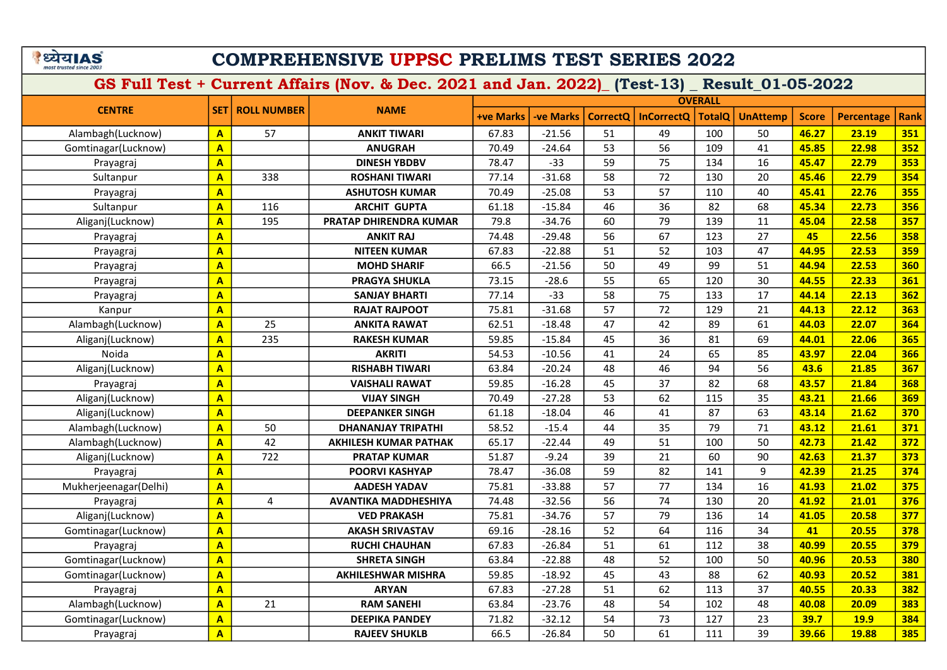### COMPREHENSIVE UPPSC PRELIMS TEST SERIES 2022

|                       |                         |                          |                              |                  |                  |                 |                   | <b>OVERALL</b> |                 |              |                   |             |
|-----------------------|-------------------------|--------------------------|------------------------------|------------------|------------------|-----------------|-------------------|----------------|-----------------|--------------|-------------------|-------------|
| <b>CENTRE</b>         |                         | <b>SET   ROLL NUMBER</b> | <b>NAME</b>                  | <b>+ve Marks</b> | <b>-ve Marks</b> | <b>CorrectQ</b> | <b>InCorrectQ</b> | <b>TotalQ</b>  | <b>UnAttemp</b> | <b>Score</b> | <b>Percentage</b> | <b>Rank</b> |
| Alambagh(Lucknow)     | $\mathbf{A}$            | 57                       | <b>ANKIT TIWARI</b>          | 67.83            | $-21.56$         | 51              | 49                | 100            | 50              | 46.27        | 23.19             | 351         |
| Gomtinagar(Lucknow)   | $\overline{\mathbf{A}}$ |                          | <b>ANUGRAH</b>               | 70.49            | $-24.64$         | 53              | 56                | 109            | 41              | 45.85        | 22.98             | 352         |
| Prayagraj             | $\overline{\mathbf{A}}$ |                          | <b>DINESH YBDBV</b>          | 78.47            | $-33$            | 59              | 75                | 134            | 16              | 45.47        | 22.79             | 353         |
| Sultanpur             | $\overline{\mathbf{A}}$ | 338                      | <b>ROSHANI TIWARI</b>        | 77.14            | $-31.68$         | 58              | 72                | 130            | 20              | 45.46        | 22.79             | 354         |
| Prayagraj             | $\overline{\mathbf{A}}$ |                          | <b>ASHUTOSH KUMAR</b>        | 70.49            | $-25.08$         | 53              | 57                | 110            | 40              | 45.41        | 22.76             | 355         |
| Sultanpur             | $\overline{\mathsf{A}}$ | 116                      | <b>ARCHIT GUPTA</b>          | 61.18            | $-15.84$         | 46              | 36                | 82             | 68              | 45.34        | 22.73             | 356         |
| Aliganj(Lucknow)      | $\overline{\mathbf{A}}$ | 195                      | PRATAP DHIRENDRA KUMAR       | 79.8             | $-34.76$         | 60              | 79                | 139            | 11              | 45.04        | 22.58             | 357         |
| Prayagraj             | $\overline{\mathbf{A}}$ |                          | <b>ANKIT RAJ</b>             | 74.48            | $-29.48$         | 56              | 67                | 123            | 27              | 45           | 22.56             | 358         |
| Prayagraj             | $\overline{\mathbf{A}}$ |                          | <b>NITEEN KUMAR</b>          | 67.83            | $-22.88$         | 51              | 52                | 103            | 47              | 44.95        | 22.53             | <b>359</b>  |
| Prayagraj             | $\overline{\mathbf{A}}$ |                          | <b>MOHD SHARIF</b>           | 66.5             | $-21.56$         | 50              | 49                | 99             | 51              | 44.94        | 22.53             | 360         |
| Prayagraj             | $\overline{\mathbf{A}}$ |                          | <b>PRAGYA SHUKLA</b>         | 73.15            | $-28.6$          | 55              | 65                | 120            | 30              | 44.55        | 22.33             | 361         |
| Prayagraj             | $\overline{A}$          |                          | <b>SANJAY BHARTI</b>         | 77.14            | $-33$            | 58              | 75                | 133            | 17              | 44.14        | 22.13             | 362         |
| Kanpur                | $\overline{\mathbf{A}}$ |                          | <b>RAJAT RAJPOOT</b>         | 75.81            | $-31.68$         | 57              | 72                | 129            | 21              | 44.13        | 22.12             | 363         |
| Alambagh(Lucknow)     | $\overline{\mathbf{A}}$ | 25                       | <b>ANKITA RAWAT</b>          | 62.51            | $-18.48$         | 47              | 42                | 89             | 61              | 44.03        | 22.07             | 364         |
| Aliganj(Lucknow)      | $\mathbf{A}$            | 235                      | <b>RAKESH KUMAR</b>          | 59.85            | $-15.84$         | 45              | 36                | 81             | 69              | 44.01        | 22.06             | 365         |
| Noida                 | $\overline{\mathbf{A}}$ |                          | <b>AKRITI</b>                | 54.53            | $-10.56$         | 41              | 24                | 65             | 85              | 43.97        | 22.04             | 366         |
| Aliganj(Lucknow)      | $\mathbf{A}$            |                          | <b>RISHABH TIWARI</b>        | 63.84            | $-20.24$         | 48              | 46                | 94             | 56              | 43.6         | 21.85             | 367         |
| Prayagraj             | $\overline{\mathbf{A}}$ |                          | <b>VAISHALI RAWAT</b>        | 59.85            | $-16.28$         | 45              | 37                | 82             | 68              | 43.57        | 21.84             | 368         |
| Aliganj(Lucknow)      | $\overline{\mathbf{A}}$ |                          | <b>VIJAY SINGH</b>           | 70.49            | $-27.28$         | 53              | 62                | 115            | 35              | 43.21        | 21.66             | 369         |
| Aliganj(Lucknow)      | $\mathbf{A}$            |                          | <b>DEEPANKER SINGH</b>       | 61.18            | $-18.04$         | 46              | 41                | 87             | 63              | 43.14        | 21.62             | 370         |
| Alambagh(Lucknow)     | $\overline{\mathbf{A}}$ | 50                       | <b>DHANANJAY TRIPATHI</b>    | 58.52            | $-15.4$          | 44              | 35                | 79             | 71              | 43.12        | 21.61             | 371         |
| Alambagh(Lucknow)     | $\overline{\mathbf{A}}$ | 42                       | <b>AKHILESH KUMAR PATHAK</b> | 65.17            | $-22.44$         | 49              | 51                | 100            | 50              | 42.73        | 21.42             | 372         |
| Aliganj(Lucknow)      | $\overline{\mathbf{A}}$ | 722                      | <b>PRATAP KUMAR</b>          | 51.87            | $-9.24$          | 39              | 21                | 60             | 90              | 42.63        | 21.37             | 373         |
| Prayagraj             | $\overline{\mathbf{A}}$ |                          | <b>POORVI KASHYAP</b>        | 78.47            | $-36.08$         | 59              | 82                | 141            | 9               | 42.39        | 21.25             | 374         |
| Mukherjeenagar(Delhi) | $\overline{\mathsf{A}}$ |                          | <b>AADESH YADAV</b>          | 75.81            | $-33.88$         | 57              | 77                | 134            | 16              | 41.93        | 21.02             | 375         |
| Prayagraj             | $\overline{\mathbf{A}}$ | 4                        | <b>AVANTIKA MADDHESHIYA</b>  | 74.48            | $-32.56$         | 56              | 74                | 130            | 20              | 41.92        | 21.01             | 376         |
| Aliganj(Lucknow)      | $\overline{\mathbf{A}}$ |                          | <b>VED PRAKASH</b>           | 75.81            | $-34.76$         | 57              | 79                | 136            | 14              | 41.05        | 20.58             | 377         |
| Gomtinagar(Lucknow)   | $\overline{\mathbf{A}}$ |                          | <b>AKASH SRIVASTAV</b>       | 69.16            | $-28.16$         | 52              | 64                | 116            | 34              | 41           | 20.55             | 378         |
| Prayagraj             | $\mathbf{A}$            |                          | <b>RUCHI CHAUHAN</b>         | 67.83            | $-26.84$         | 51              | 61                | 112            | 38              | 40.99        | 20.55             | 379         |
| Gomtinagar(Lucknow)   | $\overline{\mathbf{A}}$ |                          | <b>SHRETA SINGH</b>          | 63.84            | $-22.88$         | 48              | 52                | 100            | 50              | 40.96        | 20.53             | 380         |
| Gomtinagar(Lucknow)   | $\overline{\mathbf{A}}$ |                          | <b>AKHILESHWAR MISHRA</b>    | 59.85            | $-18.92$         | 45              | 43                | 88             | 62              | 40.93        | 20.52             | 381         |
| Prayagraj             | $\mathbf{A}$            |                          | <b>ARYAN</b>                 | 67.83            | $-27.28$         | 51              | 62                | 113            | 37              | 40.55        | 20.33             | 382         |
| Alambagh(Lucknow)     | $\overline{\mathbf{A}}$ | 21                       | <b>RAM SANEHI</b>            | 63.84            | $-23.76$         | 48              | 54                | 102            | 48              | 40.08        | 20.09             | 383         |
| Gomtinagar(Lucknow)   | $\overline{\mathbf{A}}$ |                          | <b>DEEPIKA PANDEY</b>        | 71.82            | $-32.12$         | 54              | 73                | 127            | 23              | 39.7         | <b>19.9</b>       | 384         |
| Prayagraj             | $\overline{\mathbf{A}}$ |                          | <b>RAJEEV SHUKLB</b>         | 66.5             | $-26.84$         | 50              | 61                | 111            | 39              | 39.66        | 19.88             | 385         |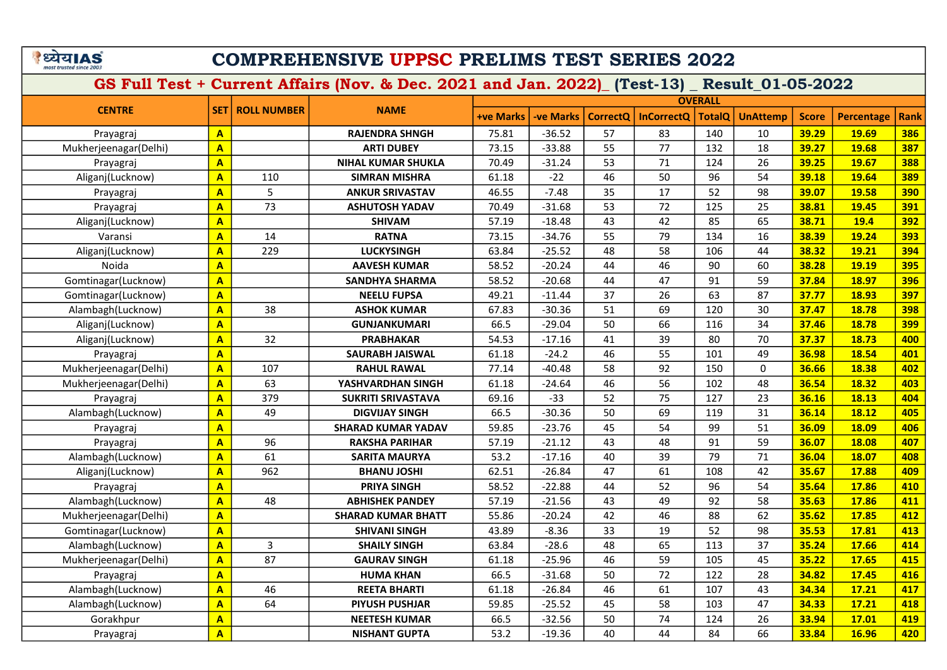# COMPREHENSIVE UPPSC PRELIMS TEST SERIES 2022

|                       |                         | <b>ROLL NUMBER</b> | <b>NAME</b>               | <b>OVERALL</b>   |                 |                 |                   |               |                 |              |                   |             |  |
|-----------------------|-------------------------|--------------------|---------------------------|------------------|-----------------|-----------------|-------------------|---------------|-----------------|--------------|-------------------|-------------|--|
| <b>CENTRE</b>         | <b>SET</b>              |                    |                           | <b>+ve Marks</b> | <b>ve Marks</b> | <b>CorrectQ</b> | <b>InCorrectQ</b> | <b>TotalQ</b> | <b>UnAttemp</b> | <b>Score</b> | <b>Percentage</b> | <b>Rank</b> |  |
| Prayagraj             | $\mathbf{A}$            |                    | <b>RAJENDRA SHNGH</b>     | 75.81            | $-36.52$        | 57              | 83                | 140           | 10              | 39.29        | 19.69             | 386         |  |
| Mukherjeenagar(Delhi) | $\overline{\mathbf{A}}$ |                    | <b>ARTI DUBEY</b>         | 73.15            | $-33.88$        | 55              | 77                | 132           | 18              | 39.27        | 19.68             | 387         |  |
| Prayagraj             | $\overline{\mathbf{A}}$ |                    | <b>NIHAL KUMAR SHUKLA</b> | 70.49            | $-31.24$        | 53              | 71                | 124           | 26              | 39.25        | 19.67             | 388         |  |
| Aliganj(Lucknow)      | $\overline{A}$          | 110                | <b>SIMRAN MISHRA</b>      | 61.18            | $-22$           | 46              | 50                | 96            | 54              | 39.18        | 19.64             | 389         |  |
| Prayagraj             | $\overline{\mathbf{A}}$ | 5                  | <b>ANKUR SRIVASTAV</b>    | 46.55            | $-7.48$         | 35              | 17                | 52            | 98              | 39.07        | 19.58             | 390         |  |
| Prayagraj             | $\overline{A}$          | 73                 | <b>ASHUTOSH YADAV</b>     | 70.49            | $-31.68$        | 53              | 72                | 125           | 25              | 38.81        | 19.45             | 391         |  |
| Aliganj(Lucknow)      | $\overline{\mathbf{A}}$ |                    | <b>SHIVAM</b>             | 57.19            | $-18.48$        | 43              | 42                | 85            | 65              | 38.71        | 19.4              | 392         |  |
| Varansi               | $\overline{\mathbf{A}}$ | 14                 | <b>RATNA</b>              | 73.15            | $-34.76$        | 55              | 79                | 134           | 16              | 38.39        | 19.24             | 393         |  |
| Aliganj(Lucknow)      | $\overline{A}$          | 229                | <b>LUCKYSINGH</b>         | 63.84            | $-25.52$        | 48              | 58                | 106           | 44              | 38.32        | 19.21             | 394         |  |
| Noida                 | $\overline{\mathbf{A}}$ |                    | <b>AAVESH KUMAR</b>       | 58.52            | $-20.24$        | 44              | 46                | 90            | 60              | 38.28        | 19.19             | 395         |  |
| Gomtinagar(Lucknow)   | $\overline{A}$          |                    | <b>SANDHYA SHARMA</b>     | 58.52            | $-20.68$        | 44              | 47                | 91            | 59              | 37.84        | 18.97             | 396         |  |
| Gomtinagar(Lucknow)   | $\overline{\mathbf{A}}$ |                    | <b>NEELU FUPSA</b>        | 49.21            | $-11.44$        | 37              | 26                | 63            | 87              | 37.77        | 18.93             | 397         |  |
| Alambagh(Lucknow)     | $\overline{\mathbf{A}}$ | 38                 | <b>ASHOK KUMAR</b>        | 67.83            | $-30.36$        | 51              | 69                | 120           | 30              | 37.47        | 18.78             | 398         |  |
| Aliganj(Lucknow)      | $\overline{\mathbf{A}}$ |                    | <b>GUNJANKUMARI</b>       | 66.5             | $-29.04$        | 50              | 66                | 116           | 34              | 37.46        | 18.78             | 399         |  |
| Aliganj(Lucknow)      | $\overline{A}$          | 32                 | <b>PRABHAKAR</b>          | 54.53            | $-17.16$        | 41              | 39                | 80            | 70              | 37.37        | 18.73             | 400         |  |
| Prayagraj             | $\overline{\mathbf{A}}$ |                    | <b>SAURABH JAISWAL</b>    | 61.18            | $-24.2$         | 46              | 55                | 101           | 49              | 36.98        | 18.54             | 401         |  |
| Mukherjeenagar(Delhi) | $\overline{\mathbf{A}}$ | 107                | <b>RAHUL RAWAL</b>        | 77.14            | $-40.48$        | 58              | 92                | 150           | $\mathbf{0}$    | 36.66        | 18.38             | 402         |  |
| Mukherjeenagar(Delhi) | $\overline{\mathbf{A}}$ | 63                 | YASHVARDHAN SINGH         | 61.18            | $-24.64$        | 46              | 56                | 102           | 48              | 36.54        | 18.32             | 403         |  |
| Prayagraj             | $\overline{\mathbf{A}}$ | 379                | <b>SUKRITI SRIVASTAVA</b> | 69.16            | $-33$           | 52              | 75                | 127           | 23              | 36.16        | 18.13             | 404         |  |
| Alambagh(Lucknow)     | $\overline{A}$          | 49                 | <b>DIGVIJAY SINGH</b>     | 66.5             | $-30.36$        | 50              | 69                | 119           | 31              | 36.14        | 18.12             | 405         |  |
| Prayagraj             | $\overline{\mathbf{A}}$ |                    | <b>SHARAD KUMAR YADAV</b> | 59.85            | $-23.76$        | 45              | 54                | 99            | 51              | 36.09        | 18.09             | 406         |  |
| Prayagraj             | A                       | 96                 | <b>RAKSHA PARIHAR</b>     | 57.19            | $-21.12$        | 43              | 48                | 91            | 59              | 36.07        | 18.08             | 407         |  |
| Alambagh(Lucknow)     | $\overline{\mathbf{A}}$ | 61                 | <b>SARITA MAURYA</b>      | 53.2             | $-17.16$        | 40              | 39                | 79            | 71              | 36.04        | 18.07             | 408         |  |
| Aliganj(Lucknow)      | $\overline{\mathbf{A}}$ | 962                | <b>BHANU JOSHI</b>        | 62.51            | $-26.84$        | 47              | 61                | 108           | 42              | 35.67        | 17.88             | 409         |  |
| Prayagraj             | $\overline{\mathsf{A}}$ |                    | <b>PRIYA SINGH</b>        | 58.52            | $-22.88$        | 44              | 52                | 96            | 54              | 35.64        | 17.86             | 410         |  |
| Alambagh(Lucknow)     | A                       | 48                 | <b>ABHISHEK PANDEY</b>    | 57.19            | $-21.56$        | 43              | 49                | 92            | 58              | 35.63        | 17.86             | 411         |  |
| Mukherjeenagar(Delhi) | $\overline{\mathbf{A}}$ |                    | <b>SHARAD KUMAR BHATT</b> | 55.86            | $-20.24$        | 42              | 46                | 88            | 62              | 35.62        | 17.85             | 412         |  |
| Gomtinagar(Lucknow)   | $\overline{\mathbf{A}}$ |                    | <b>SHIVANI SINGH</b>      | 43.89            | $-8.36$         | 33              | 19                | 52            | 98              | 35.53        | 17.81             | 413         |  |
| Alambagh(Lucknow)     | $\overline{\mathbf{A}}$ | 3                  | <b>SHAILY SINGH</b>       | 63.84            | $-28.6$         | 48              | 65                | 113           | 37              | 35.24        | 17.66             | 414         |  |
| Mukherjeenagar(Delhi) | $\overline{\mathbf{A}}$ | 87                 | <b>GAURAV SINGH</b>       | 61.18            | $-25.96$        | 46              | 59                | 105           | 45              | 35.22        | 17.65             | 415         |  |
| Prayagraj             | $\overline{\mathbf{A}}$ |                    | <b>HUMA KHAN</b>          | 66.5             | $-31.68$        | 50              | 72                | 122           | 28              | 34.82        | 17.45             | 416         |  |
| Alambagh(Lucknow)     | $\mathbf{A}$            | 46                 | <b>REETA BHARTI</b>       | 61.18            | $-26.84$        | 46              | 61                | 107           | 43              | 34.34        | 17.21             | 417         |  |
| Alambagh(Lucknow)     | $\overline{\mathbf{A}}$ | 64                 | <b>PIYUSH PUSHJAR</b>     | 59.85            | $-25.52$        | 45              | 58                | 103           | 47              | 34.33        | 17.21             | 418         |  |
| Gorakhpur             | $\mathbf{A}$            |                    | <b>NEETESH KUMAR</b>      | 66.5             | $-32.56$        | 50              | 74                | 124           | 26              | 33.94        | 17.01             | 419         |  |
| Prayagraj             | $\overline{\mathsf{A}}$ |                    | <b>NISHANT GUPTA</b>      | 53.2             | $-19.36$        | 40              | 44                | 84            | 66              | 33.84        | 16.96             | 420         |  |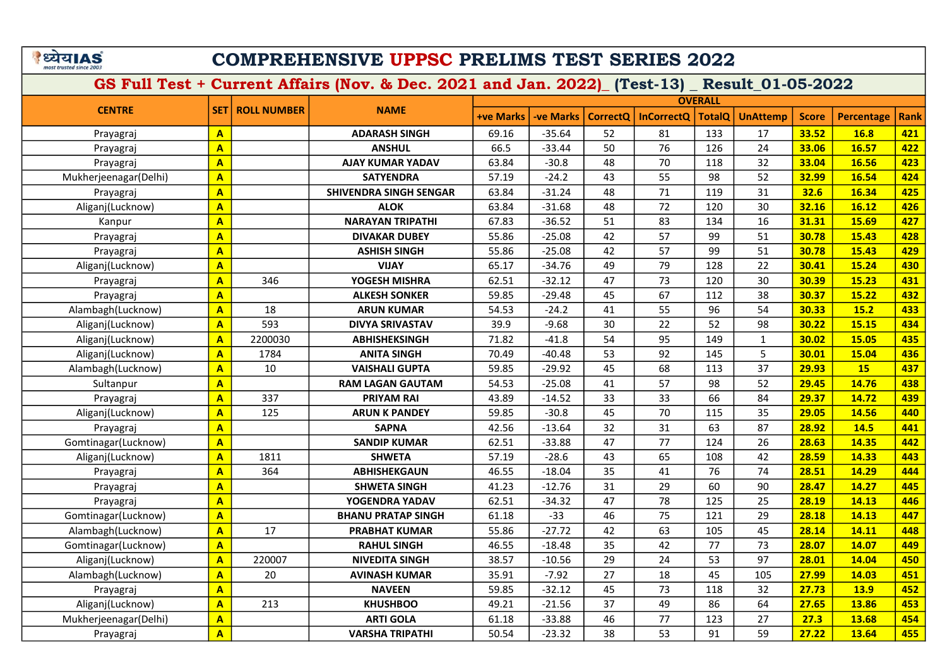# COMPREHENSIVE UPPSC PRELIMS TEST SERIES 2022

|                       |                         | <b>ROLL NUMBER</b> | <b>NAME</b>                   | <b>OVERALL</b>   |                  |                 |                   |               |                 |              |                   |             |  |
|-----------------------|-------------------------|--------------------|-------------------------------|------------------|------------------|-----------------|-------------------|---------------|-----------------|--------------|-------------------|-------------|--|
| <b>CENTRE</b>         | <b>SET</b>              |                    |                               | <b>+ve Marks</b> | <b>-ve Marks</b> | <b>CorrectO</b> | <b>InCorrectQ</b> | <b>TotalQ</b> | <b>UnAttemp</b> | <b>Score</b> | <b>Percentage</b> | <b>Rank</b> |  |
| Prayagraj             | $\mathbf{A}$            |                    | <b>ADARASH SINGH</b>          | 69.16            | $-35.64$         | 52              | 81                | 133           | 17              | 33.52        | 16.8              | 421         |  |
| Prayagraj             | $\overline{\mathbf{A}}$ |                    | <b>ANSHUL</b>                 | 66.5             | $-33.44$         | 50              | 76                | 126           | 24              | 33.06        | 16.57             | 422         |  |
| Prayagraj             | $\overline{\mathbf{A}}$ |                    | <b>AJAY KUMAR YADAV</b>       | 63.84            | $-30.8$          | 48              | 70                | 118           | 32              | 33.04        | 16.56             | 423         |  |
| Mukherjeenagar(Delhi) | $\overline{\mathbf{A}}$ |                    | <b>SATYENDRA</b>              | 57.19            | $-24.2$          | 43              | 55                | 98            | 52              | 32.99        | 16.54             | 424         |  |
| Prayagraj             | $\mathbf{A}$            |                    | <b>SHIVENDRA SINGH SENGAR</b> | 63.84            | $-31.24$         | 48              | 71                | 119           | 31              | 32.6         | 16.34             | 425         |  |
| Aliganj(Lucknow)      | $\overline{\mathbf{A}}$ |                    | <b>ALOK</b>                   | 63.84            | $-31.68$         | 48              | 72                | 120           | 30              | 32.16        | 16.12             | 426         |  |
| Kanpur                | $\overline{\mathbf{A}}$ |                    | <b>NARAYAN TRIPATHI</b>       | 67.83            | $-36.52$         | 51              | 83                | 134           | 16              | 31.31        | 15.69             | 427         |  |
| Prayagraj             | $\overline{\mathbf{A}}$ |                    | <b>DIVAKAR DUBEY</b>          | 55.86            | $-25.08$         | 42              | 57                | 99            | 51              | 30.78        | 15.43             | 428         |  |
| Prayagraj             | $\overline{A}$          |                    | <b>ASHISH SINGH</b>           | 55.86            | $-25.08$         | 42              | 57                | 99            | 51              | 30.78        | 15.43             | 429         |  |
| Aliganj(Lucknow)      | $\overline{A}$          |                    | <b>VIJAY</b>                  | 65.17            | $-34.76$         | 49              | 79                | 128           | 22              | 30.41        | 15.24             | 430         |  |
| Prayagraj             | $\overline{\mathbf{A}}$ | 346                | YOGESH MISHRA                 | 62.51            | $-32.12$         | 47              | 73                | 120           | 30              | 30.39        | 15.23             | 431         |  |
| Prayagraj             | $\overline{\mathbf{A}}$ |                    | <b>ALKESH SONKER</b>          | 59.85            | $-29.48$         | 45              | 67                | 112           | 38              | 30.37        | 15.22             | 432         |  |
| Alambagh(Lucknow)     | $\overline{A}$          | 18                 | <b>ARUN KUMAR</b>             | 54.53            | $-24.2$          | 41              | 55                | 96            | 54              | 30.33        | 15.2              | 433         |  |
| Aliganj(Lucknow)      | $\mathbf{A}$            | 593                | <b>DIVYA SRIVASTAV</b>        | 39.9             | $-9.68$          | 30              | 22                | 52            | 98              | 30.22        | 15.15             | 434         |  |
| Aliganj(Lucknow)      | $\overline{A}$          | 2200030            | <b>ABHISHEKSINGH</b>          | 71.82            | $-41.8$          | 54              | 95                | 149           | $\mathbf{1}$    | 30.02        | 15.05             | 435         |  |
| Aliganj(Lucknow)      | $\mathbf{A}$            | 1784               | <b>ANITA SINGH</b>            | 70.49            | $-40.48$         | 53              | 92                | 145           | 5               | 30.01        | 15.04             | 436         |  |
| Alambagh(Lucknow)     | $\overline{\mathbf{A}}$ | 10                 | <b>VAISHALI GUPTA</b>         | 59.85            | $-29.92$         | 45              | 68                | 113           | 37              | 29.93        | 15                | 437         |  |
| Sultanpur             | $\overline{\mathsf{A}}$ |                    | <b>RAM LAGAN GAUTAM</b>       | 54.53            | $-25.08$         | 41              | 57                | 98            | 52              | 29.45        | 14.76             | 438         |  |
| Prayagraj             | $\overline{A}$          | 337                | <b>PRIYAM RAI</b>             | 43.89            | $-14.52$         | 33              | 33                | 66            | 84              | 29.37        | 14.72             | 439         |  |
| Aliganj(Lucknow)      | A                       | 125                | <b>ARUN K PANDEY</b>          | 59.85            | $-30.8$          | 45              | 70                | 115           | 35              | 29.05        | 14.56             | 440         |  |
| Prayagraj             | $\overline{\mathbf{A}}$ |                    | <b>SAPNA</b>                  | 42.56            | $-13.64$         | 32              | 31                | 63            | 87              | 28.92        | 14.5              | 441         |  |
| Gomtinagar(Lucknow)   | A                       |                    | <b>SANDIP KUMAR</b>           | 62.51            | $-33.88$         | 47              | 77                | 124           | 26              | 28.63        | 14.35             | 442         |  |
| Aliganj(Lucknow)      | $\overline{\mathbf{A}}$ | 1811               | <b>SHWETA</b>                 | 57.19            | $-28.6$          | 43              | 65                | 108           | 42              | 28.59        | 14.33             | 443         |  |
| Prayagraj             | $\overline{\mathbf{A}}$ | 364                | <b>ABHISHEKGAUN</b>           | 46.55            | $-18.04$         | 35              | 41                | 76            | 74              | 28.51        | 14.29             | 444         |  |
| Prayagraj             | $\overline{\mathsf{A}}$ |                    | <b>SHWETA SINGH</b>           | 41.23            | $-12.76$         | 31              | 29                | 60            | 90              | 28.47        | 14.27             | 445         |  |
| Prayagraj             | $\overline{\mathbf{A}}$ |                    | YOGENDRA YADAV                | 62.51            | $-34.32$         | 47              | 78                | 125           | 25              | 28.19        | 14.13             | 446         |  |
| Gomtinagar(Lucknow)   | $\overline{\mathbf{A}}$ |                    | <b>BHANU PRATAP SINGH</b>     | 61.18            | $-33$            | 46              | 75                | 121           | 29              | 28.18        | 14.13             | 447         |  |
| Alambagh(Lucknow)     | $\overline{\mathbf{A}}$ | 17                 | <b>PRABHAT KUMAR</b>          | 55.86            | $-27.72$         | 42              | 63                | 105           | 45              | 28.14        | 14.11             | 448         |  |
| Gomtinagar(Lucknow)   | $\overline{\mathbf{A}}$ |                    | <b>RAHUL SINGH</b>            | 46.55            | $-18.48$         | 35              | 42                | 77            | 73              | 28.07        | 14.07             | 449         |  |
| Aliganj(Lucknow)      | $\overline{\mathbf{A}}$ | 220007             | <b>NIVEDITA SINGH</b>         | 38.57            | $-10.56$         | 29              | 24                | 53            | 97              | 28.01        | 14.04             | 450         |  |
| Alambagh(Lucknow)     | $\overline{\mathbf{A}}$ | 20                 | <b>AVINASH KUMAR</b>          | 35.91            | $-7.92$          | 27              | 18                | 45            | 105             | 27.99        | 14.03             | 451         |  |
| Prayagraj             | $\mathbf{A}$            |                    | <b>NAVEEN</b>                 | 59.85            | $-32.12$         | 45              | 73                | 118           | 32              | 27.73        | 13.9              | 452         |  |
| Aliganj(Lucknow)      | $\overline{\mathbf{A}}$ | 213                | <b>KHUSHBOO</b>               | 49.21            | $-21.56$         | 37              | 49                | 86            | 64              | 27.65        | 13.86             | 453         |  |
| Mukherjeenagar(Delhi) | $\overline{\mathbf{A}}$ |                    | <b>ARTI GOLA</b>              | 61.18            | $-33.88$         | 46              | 77                | 123           | 27              | 27.3         | 13.68             | 454         |  |
| Prayagraj             | $\overline{\mathsf{A}}$ |                    | <b>VARSHA TRIPATHI</b>        | 50.54            | $-23.32$         | 38              | 53                | 91            | 59              | 27.22        | 13.64             | 455         |  |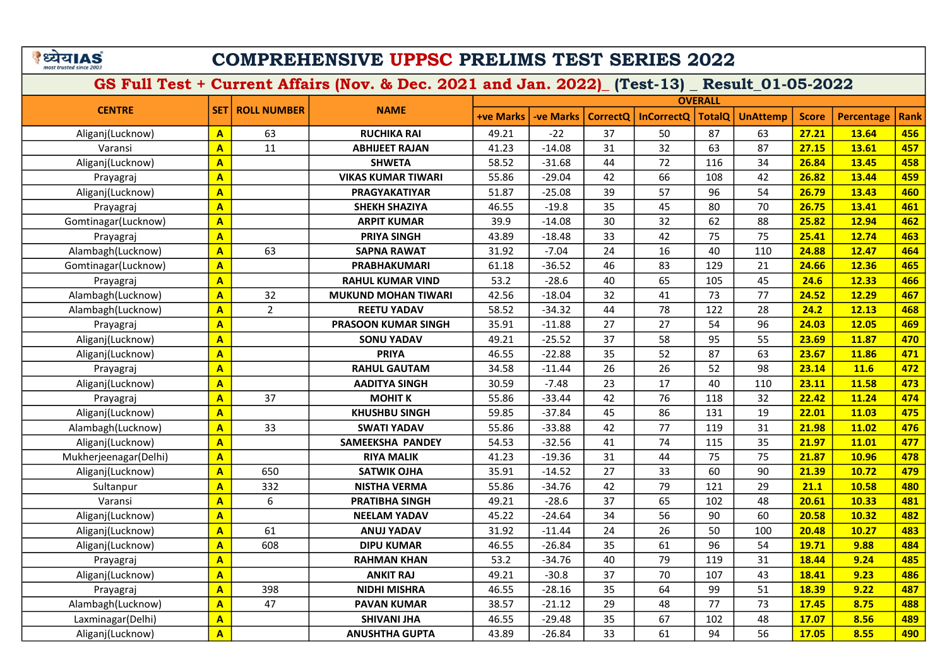# COMPREHENSIVE UPPSC PRELIMS TEST SERIES 2022

|                       |                         | <b>ROLL NUMBER</b> | <b>NAME</b>                | <b>OVERALL</b>   |                  |                 |                   |               |                 |              |                   |             |  |
|-----------------------|-------------------------|--------------------|----------------------------|------------------|------------------|-----------------|-------------------|---------------|-----------------|--------------|-------------------|-------------|--|
| <b>CENTRE</b>         | <b>SET</b>              |                    |                            | <b>+ve Marks</b> | <b>-ve Marks</b> | <b>CorrectQ</b> | <b>InCorrectQ</b> | <b>TotalQ</b> | <b>UnAttemp</b> | <b>Score</b> | <b>Percentage</b> | <b>Rank</b> |  |
| Aliganj(Lucknow)      | $\mathbf{A}$            | 63                 | <b>RUCHIKA RAI</b>         | 49.21            | $-22$            | 37              | 50                | 87            | 63              | 27.21        | 13.64             | 456         |  |
| Varansi               | $\overline{\mathbf{A}}$ | 11                 | <b>ABHIJEET RAJAN</b>      | 41.23            | $-14.08$         | 31              | 32                | 63            | 87              | 27.15        | 13.61             | 457         |  |
| Aliganj(Lucknow)      | $\overline{\mathbf{A}}$ |                    | <b>SHWETA</b>              | 58.52            | $-31.68$         | 44              | 72                | 116           | 34              | 26.84        | 13.45             | 458         |  |
| Prayagraj             | $\mathbf{A}$            |                    | <b>VIKAS KUMAR TIWARI</b>  | 55.86            | $-29.04$         | 42              | 66                | 108           | 42              | 26.82        | 13.44             | 459         |  |
| Aliganj(Lucknow)      | $\overline{\mathbf{A}}$ |                    | <b>PRAGYAKATIYAR</b>       | 51.87            | $-25.08$         | 39              | 57                | 96            | 54              | 26.79        | 13.43             | 460         |  |
| Prayagraj             | $\overline{\mathbf{A}}$ |                    | <b>SHEKH SHAZIYA</b>       | 46.55            | $-19.8$          | 35              | 45                | 80            | 70              | 26.75        | 13.41             | 461         |  |
| Gomtinagar(Lucknow)   | $\overline{\mathbf{A}}$ |                    | <b>ARPIT KUMAR</b>         | 39.9             | $-14.08$         | 30              | 32                | 62            | 88              | 25.82        | 12.94             | 462         |  |
| Prayagraj             | $\mathbf{A}$            |                    | <b>PRIYA SINGH</b>         | 43.89            | $-18.48$         | 33              | 42                | 75            | 75              | 25.41        | 12.74             | 463         |  |
| Alambagh(Lucknow)     | $\overline{\mathbf{A}}$ | 63                 | <b>SAPNA RAWAT</b>         | 31.92            | $-7.04$          | 24              | 16                | 40            | 110             | 24.88        | 12.47             | 464         |  |
| Gomtinagar(Lucknow)   | $\overline{\mathbf{A}}$ |                    | <b>PRABHAKUMARI</b>        | 61.18            | $-36.52$         | 46              | 83                | 129           | 21              | 24.66        | 12.36             | 465         |  |
| Prayagraj             | $\overline{A}$          |                    | <b>RAHUL KUMAR VIND</b>    | 53.2             | $-28.6$          | 40              | 65                | 105           | 45              | 24.6         | 12.33             | 466         |  |
| Alambagh(Lucknow)     | $\overline{\mathbf{A}}$ | 32                 | <b>MUKUND MOHAN TIWARI</b> | 42.56            | $-18.04$         | 32              | 41                | 73            | 77              | 24.52        | 12.29             | 467         |  |
| Alambagh(Lucknow)     | $\overline{\mathbf{A}}$ | $\overline{2}$     | <b>REETU YADAV</b>         | 58.52            | $-34.32$         | 44              | 78                | 122           | 28              | 24.2         | 12.13             | 468         |  |
| Prayagraj             | $\overline{\mathbf{A}}$ |                    | <b>PRASOON KUMAR SINGH</b> | 35.91            | $-11.88$         | 27              | 27                | 54            | 96              | 24.03        | 12.05             | 469         |  |
| Aliganj(Lucknow)      | $\overline{\mathbf{A}}$ |                    | <b>SONU YADAV</b>          | 49.21            | $-25.52$         | 37              | 58                | 95            | 55              | 23.69        | 11.87             | 470         |  |
| Aliganj(Lucknow)      | $\overline{\mathbf{A}}$ |                    | <b>PRIYA</b>               | 46.55            | $-22.88$         | 35              | 52                | 87            | 63              | 23.67        | 11.86             | 471         |  |
| Prayagraj             | $\mathbf{A}$            |                    | <b>RAHUL GAUTAM</b>        | 34.58            | $-11.44$         | 26              | 26                | 52            | 98              | 23.14        | 11.6              | 472         |  |
| Aliganj(Lucknow)      | $\overline{\mathbf{A}}$ |                    | <b>AADITYA SINGH</b>       | 30.59            | $-7.48$          | 23              | 17                | 40            | 110             | 23.11        | 11.58             | 473         |  |
| Prayagraj             | $\overline{\mathbf{A}}$ | 37                 | <b>MOHIT K</b>             | 55.86            | $-33.44$         | 42              | 76                | 118           | 32              | 22.42        | 11.24             | 474         |  |
| Aliganj(Lucknow)      | $\mathbf{A}$            |                    | <b>KHUSHBU SINGH</b>       | 59.85            | $-37.84$         | 45              | 86                | 131           | 19              | 22.01        | 11.03             | 475         |  |
| Alambagh(Lucknow)     | $\overline{A}$          | 33                 | <b>SWATI YADAV</b>         | 55.86            | $-33.88$         | 42              | 77                | 119           | 31              | 21.98        | 11.02             | 476         |  |
| Aliganj(Lucknow)      | $\overline{\mathbf{A}}$ |                    | SAMEEKSHA PANDEY           | 54.53            | $-32.56$         | 41              | 74                | 115           | 35              | 21.97        | 11.01             | 477         |  |
| Mukherjeenagar(Delhi) | $\mathbf{A}$            |                    | <b>RIYA MALIK</b>          | 41.23            | $-19.36$         | 31              | 44                | 75            | 75              | 21.87        | 10.96             | 478         |  |
| Aliganj(Lucknow)      | $\overline{\mathbf{A}}$ | 650                | <b>SATWIK OJHA</b>         | 35.91            | $-14.52$         | 27              | 33                | 60            | 90              | 21.39        | 10.72             | 479         |  |
| Sultanpur             | $\overline{\mathbf{A}}$ | 332                | <b>NISTHA VERMA</b>        | 55.86            | $-34.76$         | 42              | 79                | 121           | 29              | 21.1         | 10.58             | 480         |  |
| Varansi               | $\overline{\mathbf{A}}$ | 6                  | <b>PRATIBHA SINGH</b>      | 49.21            | $-28.6$          | 37              | 65                | 102           | 48              | 20.61        | 10.33             | 481         |  |
| Aliganj(Lucknow)      | $\overline{\mathbf{A}}$ |                    | <b>NEELAM YADAV</b>        | 45.22            | $-24.64$         | 34              | 56                | 90            | 60              | 20.58        | 10.32             | 482         |  |
| Aliganj(Lucknow)      | $\overline{\mathbf{A}}$ | 61                 | <b>ANUJ YADAV</b>          | 31.92            | $-11.44$         | 24              | 26                | 50            | 100             | 20.48        | 10.27             | 483         |  |
| Aliganj(Lucknow)      | $\overline{\mathbf{A}}$ | 608                | <b>DIPU KUMAR</b>          | 46.55            | $-26.84$         | 35              | 61                | 96            | 54              | 19.71        | 9.88              | 484         |  |
| Prayagraj             | $\overline{\mathbf{A}}$ |                    | <b>RAHMAN KHAN</b>         | 53.2             | $-34.76$         | 40              | 79                | 119           | 31              | 18.44        | 9.24              | 485         |  |
| Aliganj(Lucknow)      | $\overline{\mathbf{A}}$ |                    | <b>ANKIT RAJ</b>           | 49.21            | $-30.8$          | 37              | 70                | 107           | 43              | 18.41        | 9.23              | 486         |  |
| Prayagraj             | $\mathbf{A}$            | 398                | <b>NIDHI MISHRA</b>        | 46.55            | $-28.16$         | 35              | 64                | 99            | 51              | 18.39        | 9.22              | 487         |  |
| Alambagh(Lucknow)     | $\overline{\mathbf{A}}$ | 47                 | <b>PAVAN KUMAR</b>         | 38.57            | $-21.12$         | 29              | 48                | 77            | 73              | 17.45        | 8.75              | 488         |  |
| Laxminagar(Delhi)     | $\mathbf{A}$            |                    | <b>SHIVANI JHA</b>         | 46.55            | $-29.48$         | 35              | 67                | 102           | 48              | 17.07        | 8.56              | 489         |  |
| Aliganj(Lucknow)      | $\overline{\mathsf{A}}$ |                    | <b>ANUSHTHA GUPTA</b>      | 43.89            | $-26.84$         | 33              | 61                | 94            | 56              | 17.05        | 8.55              | 490         |  |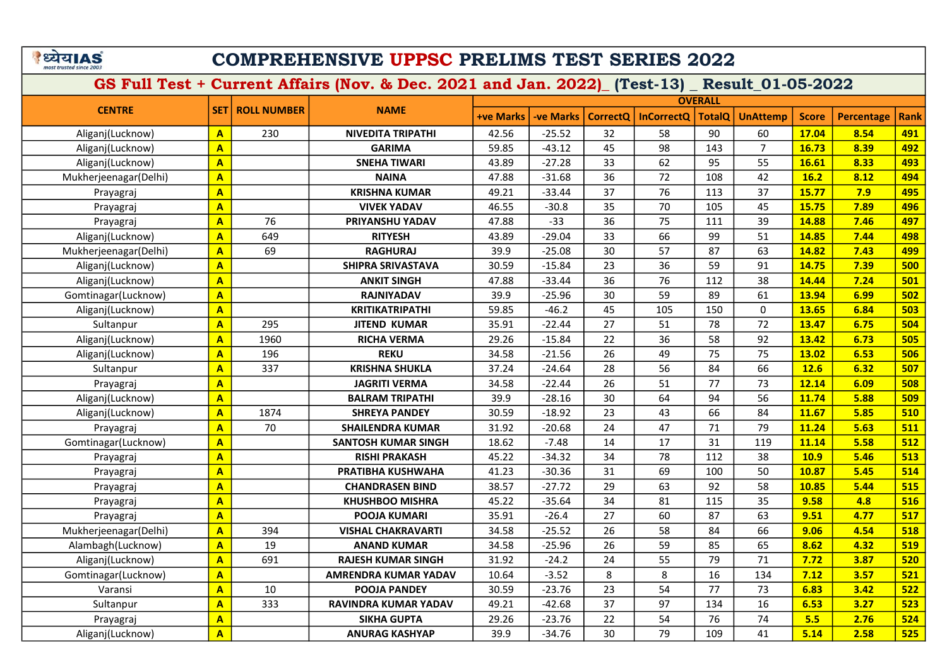# COMPREHENSIVE UPPSC PRELIMS TEST SERIES 2022

|                       |                         | <b>ROLL NUMBER</b> | <b>NAME</b>                 | <b>OVERALL</b>   |                  |                 |                   |               |                 |              |                   |             |  |
|-----------------------|-------------------------|--------------------|-----------------------------|------------------|------------------|-----------------|-------------------|---------------|-----------------|--------------|-------------------|-------------|--|
| <b>CENTRE</b>         | <b>SET</b>              |                    |                             | <b>+ve Marks</b> | <b>-ve Marks</b> | <b>CorrectO</b> | <b>InCorrectQ</b> | <b>TotalQ</b> | <b>UnAttemp</b> | <b>Score</b> | <b>Percentage</b> | <b>Rank</b> |  |
| Aliganj(Lucknow)      | $\mathbf{A}$            | 230                | <b>NIVEDITA TRIPATHI</b>    | 42.56            | $-25.52$         | 32              | 58                | 90            | 60              | 17.04        | 8.54              | 491         |  |
| Aliganj(Lucknow)      | $\mathbf{A}$            |                    | <b>GARIMA</b>               | 59.85            | $-43.12$         | 45              | 98                | 143           | $\overline{7}$  | 16.73        | 8.39              | 492         |  |
| Aliganj(Lucknow)      | $\overline{\mathbf{A}}$ |                    | <b>SNEHA TIWARI</b>         | 43.89            | $-27.28$         | 33              | 62                | 95            | 55              | 16.61        | 8.33              | 493         |  |
| Mukherjeenagar(Delhi) | $\mathbf{A}$            |                    | <b>NAINA</b>                | 47.88            | $-31.68$         | 36              | 72                | 108           | 42              | 16.2         | 8.12              | 494         |  |
| Prayagraj             | $\overline{\mathbf{A}}$ |                    | <b>KRISHNA KUMAR</b>        | 49.21            | $-33.44$         | 37              | 76                | 113           | 37              | 15.77        | 7.9               | 495         |  |
| Prayagraj             | $\overline{\mathbf{A}}$ |                    | <b>VIVEK YADAV</b>          | 46.55            | $-30.8$          | 35              | 70                | 105           | 45              | 15.75        | 7.89              | 496         |  |
| Prayagraj             | $\overline{\mathbf{A}}$ | 76                 | <b>PRIYANSHU YADAV</b>      | 47.88            | $-33$            | 36              | 75                | 111           | 39              | 14.88        | 7.46              | 497         |  |
| Aliganj(Lucknow)      | $\mathbf{A}$            | 649                | <b>RITYESH</b>              | 43.89            | $-29.04$         | 33              | 66                | 99            | 51              | 14.85        | 7.44              | 498         |  |
| Mukherjeenagar(Delhi) | $\overline{\mathbf{A}}$ | 69                 | <b>RAGHURAJ</b>             | 39.9             | $-25.08$         | 30              | 57                | 87            | 63              | 14.82        | 7.43              | 499         |  |
| Aliganj(Lucknow)      | $\overline{\mathbf{A}}$ |                    | SHIPRA SRIVASTAVA           | 30.59            | $-15.84$         | 23              | 36                | 59            | 91              | 14.75        | 7.39              | 500         |  |
| Aliganj(Lucknow)      | $\overline{A}$          |                    | <b>ANKIT SINGH</b>          | 47.88            | $-33.44$         | 36              | 76                | 112           | 38              | 14.44        | 7.24              | 501         |  |
| Gomtinagar(Lucknow)   | $\overline{\mathbf{A}}$ |                    | <b>RAJNIYADAV</b>           | 39.9             | $-25.96$         | 30              | 59                | 89            | 61              | 13.94        | 6.99              | 502         |  |
| Aliganj(Lucknow)      | $\overline{\mathbf{A}}$ |                    | <b>KRITIKATRIPATHI</b>      | 59.85            | $-46.2$          | 45              | 105               | 150           | 0               | 13.65        | 6.84              | 503         |  |
| Sultanpur             | $\overline{\mathbf{A}}$ | 295                | <b>JITEND KUMAR</b>         | 35.91            | $-22.44$         | 27              | 51                | 78            | 72              | 13.47        | 6.75              | 504         |  |
| Aliganj(Lucknow)      | $\mathbf{A}$            | 1960               | <b>RICHA VERMA</b>          | 29.26            | $-15.84$         | 22              | 36                | 58            | 92              | 13.42        | 6.73              | 505         |  |
| Aliganj(Lucknow)      | $\mathbf{A}$            | 196                | <b>REKU</b>                 | 34.58            | $-21.56$         | 26              | 49                | 75            | 75              | 13.02        | 6.53              | 506         |  |
| Sultanpur             | $\overline{A}$          | 337                | <b>KRISHNA SHUKLA</b>       | 37.24            | $-24.64$         | 28              | 56                | 84            | 66              | 12.6         | 6.32              | 507         |  |
| Prayagraj             | $\overline{\mathbf{A}}$ |                    | <b>JAGRITI VERMA</b>        | 34.58            | $-22.44$         | 26              | 51                | 77            | 73              | 12.14        | 6.09              | 508         |  |
| Aliganj(Lucknow)      | $\mathbf{A}$            |                    | <b>BALRAM TRIPATHI</b>      | 39.9             | $-28.16$         | 30              | 64                | 94            | 56              | 11.74        | 5.88              | 509         |  |
| Aliganj(Lucknow)      | $\overline{A}$          | 1874               | <b>SHREYA PANDEY</b>        | 30.59            | $-18.92$         | 23              | 43                | 66            | 84              | 11.67        | 5.85              | 510         |  |
| Prayagraj             | $\overline{A}$          | 70                 | <b>SHAILENDRA KUMAR</b>     | 31.92            | $-20.68$         | 24              | 47                | 71            | 79              | 11.24        | 5.63              | 511         |  |
| Gomtinagar(Lucknow)   | $\overline{\mathbf{A}}$ |                    | <b>SANTOSH KUMAR SINGH</b>  | 18.62            | $-7.48$          | 14              | 17                | 31            | 119             | 11.14        | 5.58              | 512         |  |
| Prayagraj             | $\mathbf{A}$            |                    | <b>RISHI PRAKASH</b>        | 45.22            | $-34.32$         | 34              | 78                | 112           | 38              | <b>10.9</b>  | 5.46              | 513         |  |
| Prayagraj             | $\overline{\mathbf{A}}$ |                    | PRATIBHA KUSHWAHA           | 41.23            | $-30.36$         | 31              | 69                | 100           | 50              | 10.87        | 5.45              | 514         |  |
| Prayagraj             | $\overline{\mathbf{A}}$ |                    | <b>CHANDRASEN BIND</b>      | 38.57            | $-27.72$         | 29              | 63                | 92            | 58              | 10.85        | 5.44              | 515         |  |
| Prayagraj             | $\overline{\mathbf{A}}$ |                    | <b>KHUSHBOO MISHRA</b>      | 45.22            | $-35.64$         | 34              | 81                | 115           | 35              | 9.58         | 4.8               | 516         |  |
| Prayagraj             | $\overline{\mathbf{A}}$ |                    | <b>POOJA KUMARI</b>         | 35.91            | $-26.4$          | 27              | 60                | 87            | 63              | 9.51         | 4.77              | 517         |  |
| Mukherjeenagar(Delhi) | $\overline{\mathbf{A}}$ | 394                | <b>VISHAL CHAKRAVARTI</b>   | 34.58            | $-25.52$         | 26              | 58                | 84            | 66              | 9.06         | 4.54              | 518         |  |
| Alambagh(Lucknow)     | $\overline{\mathbf{A}}$ | 19                 | <b>ANAND KUMAR</b>          | 34.58            | $-25.96$         | 26              | 59                | 85            | 65              | 8.62         | 4.32              | 519         |  |
| Aliganj(Lucknow)      | $\mathbf{A}$            | 691                | <b>RAJESH KUMAR SINGH</b>   | 31.92            | $-24.2$          | 24              | 55                | 79            | 71              | 7.72         | 3.87              | 520         |  |
| Gomtinagar(Lucknow)   | $\overline{\mathbf{A}}$ |                    | <b>AMRENDRA KUMAR YADAV</b> | 10.64            | $-3.52$          | 8               | 8                 | 16            | 134             | 7.12         | 3.57              | 521         |  |
| Varansi               | $\mathbf{A}$            | 10                 | <b>POOJA PANDEY</b>         | 30.59            | $-23.76$         | 23              | 54                | 77            | 73              | 6.83         | 3.42              | 522         |  |
| Sultanpur             | $\overline{\mathbf{A}}$ | 333                | <b>RAVINDRA KUMAR YADAV</b> | 49.21            | $-42.68$         | 37              | 97                | 134           | 16              | 6.53         | 3.27              | 523         |  |
| Prayagraj             | $\mathbf{A}$            |                    | <b>SIKHA GUPTA</b>          | 29.26            | $-23.76$         | 22              | 54                | 76            | 74              | 5.5          | 2.76              | 524         |  |
| Aliganj(Lucknow)      | $\overline{\mathbf{A}}$ |                    | <b>ANURAG KASHYAP</b>       | 39.9             | $-34.76$         | 30              | 79                | 109           | 41              | 5.14         | 2.58              | 525         |  |